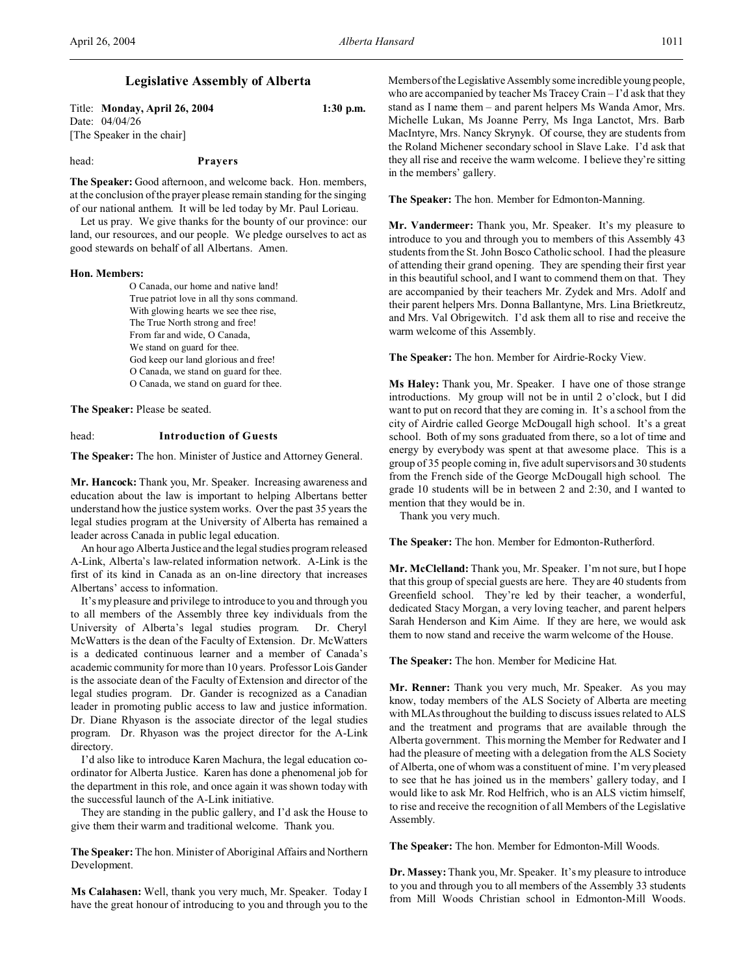Title: **Monday, April 26, 2004 1:30 p.m.** Date: 04/04/26 [The Speaker in the chair]

#### head: **Prayers**

**The Speaker:** Good afternoon, and welcome back. Hon. members, at the conclusion of the prayer please remain standing for the singing of our national anthem. It will be led today by Mr. Paul Lorieau.

Let us pray. We give thanks for the bounty of our province: our land, our resources, and our people. We pledge ourselves to act as good stewards on behalf of all Albertans. Amen.

### **Hon. Members:**

O Canada, our home and native land! True patriot love in all thy sons command. With glowing hearts we see thee rise, The True North strong and free! From far and wide, O Canada, We stand on guard for thee. God keep our land glorious and free! O Canada, we stand on guard for thee. O Canada, we stand on guard for thee.

**The Speaker:** Please be seated.

### head: **Introduction of Guests**

**The Speaker:** The hon. Minister of Justice and Attorney General.

**Mr. Hancock:** Thank you, Mr. Speaker. Increasing awareness and education about the law is important to helping Albertans better understand how the justice system works. Over the past 35 years the legal studies program at the University of Alberta has remained a leader across Canada in public legal education.

An hour ago Alberta Justice and the legal studies program released A-Link, Alberta's law-related information network. A-Link is the first of its kind in Canada as an on-line directory that increases Albertans' access to information.

It's my pleasure and privilege to introduce to you and through you to all members of the Assembly three key individuals from the University of Alberta's legal studies program. Dr. Cheryl McWatters is the dean of the Faculty of Extension. Dr. McWatters is a dedicated continuous learner and a member of Canada's academic community for more than 10 years. Professor Lois Gander is the associate dean of the Faculty of Extension and director of the legal studies program. Dr. Gander is recognized as a Canadian leader in promoting public access to law and justice information. Dr. Diane Rhyason is the associate director of the legal studies program. Dr. Rhyason was the project director for the A-Link directory.

I'd also like to introduce Karen Machura, the legal education coordinator for Alberta Justice. Karen has done a phenomenal job for the department in this role, and once again it was shown today with the successful launch of the A-Link initiative.

They are standing in the public gallery, and I'd ask the House to give them their warm and traditional welcome. Thank you.

**The Speaker:** The hon. Minister of Aboriginal Affairs and Northern Development.

**Ms Calahasen:** Well, thank you very much, Mr. Speaker. Today I have the great honour of introducing to you and through you to the Members of the Legislative Assembly some incredible young people, who are accompanied by teacher Ms Tracey Crain – I'd ask that they stand as I name them – and parent helpers Ms Wanda Amor, Mrs. Michelle Lukan, Ms Joanne Perry, Ms Inga Lanctot, Mrs. Barb MacIntyre, Mrs. Nancy Skrynyk. Of course, they are students from the Roland Michener secondary school in Slave Lake. I'd ask that they all rise and receive the warm welcome. I believe they're sitting in the members' gallery.

**The Speaker:** The hon. Member for Edmonton-Manning.

**Mr. Vandermeer:** Thank you, Mr. Speaker. It's my pleasure to introduce to you and through you to members of this Assembly 43 students from the St. John Bosco Catholic school. I had the pleasure of attending their grand opening. They are spending their first year in this beautiful school, and I want to commend them on that. They are accompanied by their teachers Mr. Zydek and Mrs. Adolf and their parent helpers Mrs. Donna Ballantyne, Mrs. Lina Brietkreutz, and Mrs. Val Obrigewitch. I'd ask them all to rise and receive the warm welcome of this Assembly.

**The Speaker:** The hon. Member for Airdrie-Rocky View.

**Ms Haley:** Thank you, Mr. Speaker. I have one of those strange introductions. My group will not be in until 2 o'clock, but I did want to put on record that they are coming in. It's a school from the city of Airdrie called George McDougall high school. It's a great school. Both of my sons graduated from there, so a lot of time and energy by everybody was spent at that awesome place. This is a group of 35 people coming in, five adult supervisors and 30 students from the French side of the George McDougall high school. The grade 10 students will be in between 2 and 2:30, and I wanted to mention that they would be in.

Thank you very much.

**The Speaker:** The hon. Member for Edmonton-Rutherford.

**Mr. McClelland:** Thank you, Mr. Speaker. I'm not sure, but I hope that this group of special guests are here. They are 40 students from Greenfield school. They're led by their teacher, a wonderful, dedicated Stacy Morgan, a very loving teacher, and parent helpers Sarah Henderson and Kim Aime. If they are here, we would ask them to now stand and receive the warm welcome of the House.

**The Speaker:** The hon. Member for Medicine Hat.

**Mr. Renner:** Thank you very much, Mr. Speaker. As you may know, today members of the ALS Society of Alberta are meeting with MLAs throughout the building to discuss issues related to ALS and the treatment and programs that are available through the Alberta government. This morning the Member for Redwater and I had the pleasure of meeting with a delegation from the ALS Society of Alberta, one of whom was a constituent of mine. I'm very pleased to see that he has joined us in the members' gallery today, and I would like to ask Mr. Rod Helfrich, who is an ALS victim himself, to rise and receive the recognition of all Members of the Legislative Assembly.

**The Speaker:** The hon. Member for Edmonton-Mill Woods.

**Dr. Massey:** Thank you, Mr. Speaker. It's my pleasure to introduce to you and through you to all members of the Assembly 33 students from Mill Woods Christian school in Edmonton-Mill Woods.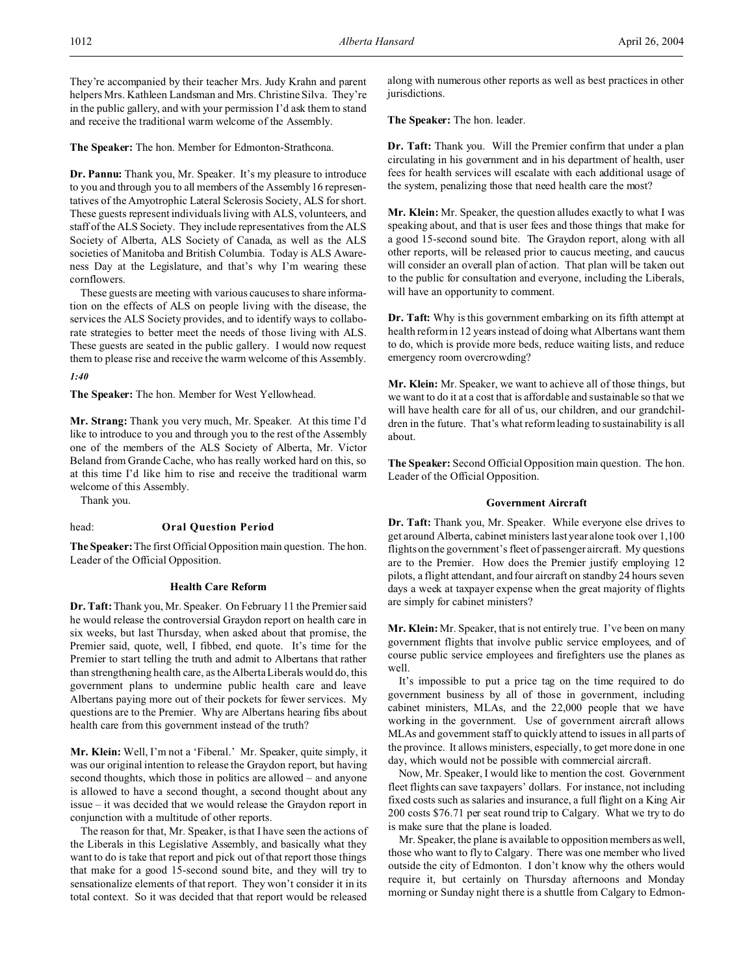They're accompanied by their teacher Mrs. Judy Krahn and parent helpers Mrs. Kathleen Landsman and Mrs. Christine Silva. They're in the public gallery, and with your permission I'd ask them to stand and receive the traditional warm welcome of the Assembly.

**The Speaker:** The hon. Member for Edmonton-Strathcona.

**Dr. Pannu:** Thank you, Mr. Speaker. It's my pleasure to introduce to you and through you to all members of the Assembly 16 representatives of the Amyotrophic Lateral Sclerosis Society, ALS for short. These guests represent individuals living with ALS, volunteers, and staff of the ALS Society. They include representatives from the ALS Society of Alberta, ALS Society of Canada, as well as the ALS societies of Manitoba and British Columbia. Today is ALS Awareness Day at the Legislature, and that's why I'm wearing these cornflowers.

These guests are meeting with various caucuses to share information on the effects of ALS on people living with the disease, the services the ALS Society provides, and to identify ways to collaborate strategies to better meet the needs of those living with ALS. These guests are seated in the public gallery. I would now request them to please rise and receive the warm welcome of this Assembly.

*1:40*

**The Speaker:** The hon. Member for West Yellowhead.

**Mr. Strang:** Thank you very much, Mr. Speaker. At this time I'd like to introduce to you and through you to the rest of the Assembly one of the members of the ALS Society of Alberta, Mr. Victor Beland from Grande Cache, who has really worked hard on this, so at this time I'd like him to rise and receive the traditional warm welcome of this Assembly.

Thank you.

# head: **Oral Question Period**

**The Speaker:**The first Official Opposition main question. The hon. Leader of the Official Opposition.

#### **Health Care Reform**

**Dr. Taft:**Thank you, Mr. Speaker. On February 11 the Premier said he would release the controversial Graydon report on health care in six weeks, but last Thursday, when asked about that promise, the Premier said, quote, well, I fibbed, end quote. It's time for the Premier to start telling the truth and admit to Albertans that rather than strengthening health care, as the Alberta Liberals would do, this government plans to undermine public health care and leave Albertans paying more out of their pockets for fewer services. My questions are to the Premier. Why are Albertans hearing fibs about health care from this government instead of the truth?

**Mr. Klein:** Well, I'm not a 'Fiberal.' Mr. Speaker, quite simply, it was our original intention to release the Graydon report, but having second thoughts, which those in politics are allowed – and anyone is allowed to have a second thought, a second thought about any issue – it was decided that we would release the Graydon report in conjunction with a multitude of other reports.

The reason for that, Mr. Speaker, is that I have seen the actions of the Liberals in this Legislative Assembly, and basically what they want to do is take that report and pick out of that report those things that make for a good 15-second sound bite, and they will try to sensationalize elements of that report. They won't consider it in its total context. So it was decided that that report would be released

along with numerous other reports as well as best practices in other jurisdictions.

**The Speaker:** The hon. leader.

**Dr. Taft:** Thank you. Will the Premier confirm that under a plan circulating in his government and in his department of health, user fees for health services will escalate with each additional usage of the system, penalizing those that need health care the most?

**Mr. Klein:** Mr. Speaker, the question alludes exactly to what I was speaking about, and that is user fees and those things that make for a good 15-second sound bite. The Graydon report, along with all other reports, will be released prior to caucus meeting, and caucus will consider an overall plan of action. That plan will be taken out to the public for consultation and everyone, including the Liberals, will have an opportunity to comment.

**Dr. Taft:** Why is this government embarking on its fifth attempt at health reform in 12 years instead of doing what Albertans want them to do, which is provide more beds, reduce waiting lists, and reduce emergency room overcrowding?

**Mr. Klein:** Mr. Speaker, we want to achieve all of those things, but we want to do it at a cost that is affordable and sustainable so that we will have health care for all of us, our children, and our grandchildren in the future. That's what reform leading to sustainability is all about.

**The Speaker:** Second Official Opposition main question. The hon. Leader of the Official Opposition.

#### **Government Aircraft**

**Dr. Taft:** Thank you, Mr. Speaker. While everyone else drives to get around Alberta, cabinet ministers last year alone took over 1,100 flights on the government's fleet of passenger aircraft. My questions are to the Premier. How does the Premier justify employing 12 pilots, a flight attendant, and four aircraft on standby 24 hours seven days a week at taxpayer expense when the great majority of flights are simply for cabinet ministers?

**Mr. Klein:** Mr. Speaker, that is not entirely true. I've been on many government flights that involve public service employees, and of course public service employees and firefighters use the planes as well.

It's impossible to put a price tag on the time required to do government business by all of those in government, including cabinet ministers, MLAs, and the 22,000 people that we have working in the government. Use of government aircraft allows MLAs and government staff to quickly attend to issues in all parts of the province. It allows ministers, especially, to get more done in one day, which would not be possible with commercial aircraft.

Now, Mr. Speaker, I would like to mention the cost. Government fleet flights can save taxpayers' dollars. For instance, not including fixed costs such as salaries and insurance, a full flight on a King Air 200 costs \$76.71 per seat round trip to Calgary. What we try to do is make sure that the plane is loaded.

Mr. Speaker, the plane is available to opposition members as well, those who want to fly to Calgary. There was one member who lived outside the city of Edmonton. I don't know why the others would require it, but certainly on Thursday afternoons and Monday morning or Sunday night there is a shuttle from Calgary to Edmon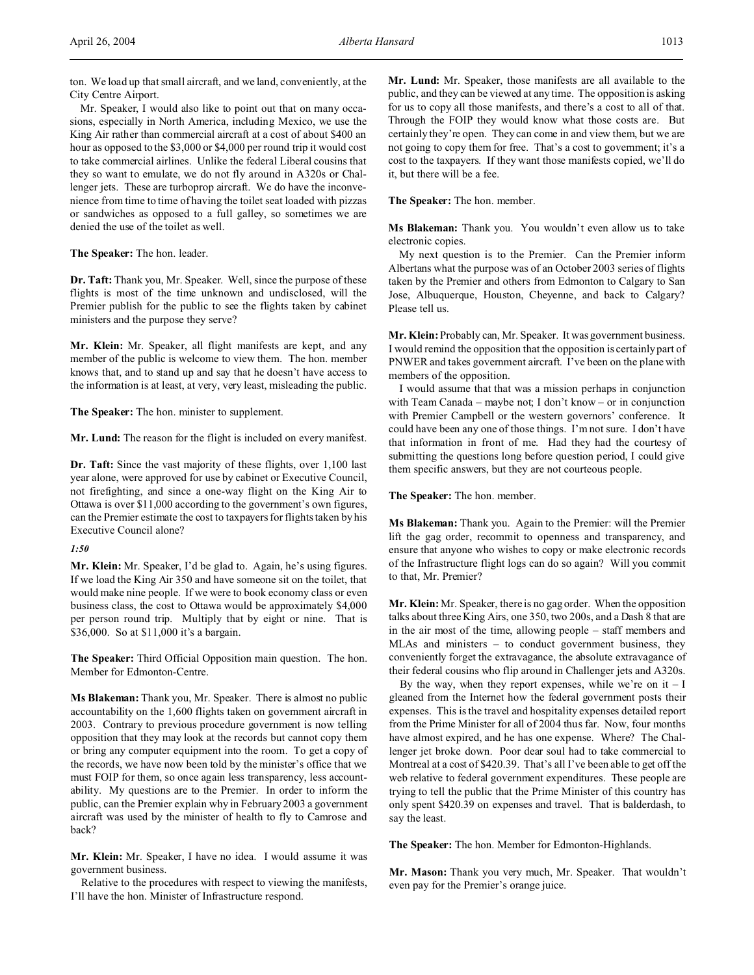ton. We load up that small aircraft, and we land, conveniently, at the City Centre Airport.

Mr. Speaker, I would also like to point out that on many occasions, especially in North America, including Mexico, we use the King Air rather than commercial aircraft at a cost of about \$400 an hour as opposed to the \$3,000 or \$4,000 per round trip it would cost to take commercial airlines. Unlike the federal Liberal cousins that they so want to emulate, we do not fly around in A320s or Challenger jets. These are turboprop aircraft. We do have the inconvenience from time to time of having the toilet seat loaded with pizzas or sandwiches as opposed to a full galley, so sometimes we are denied the use of the toilet as well.

**The Speaker:** The hon. leader.

**Dr. Taft:** Thank you, Mr. Speaker. Well, since the purpose of these flights is most of the time unknown and undisclosed, will the Premier publish for the public to see the flights taken by cabinet ministers and the purpose they serve?

**Mr. Klein:** Mr. Speaker, all flight manifests are kept, and any member of the public is welcome to view them. The hon. member knows that, and to stand up and say that he doesn't have access to the information is at least, at very, very least, misleading the public.

**The Speaker:** The hon. minister to supplement.

**Mr. Lund:** The reason for the flight is included on every manifest.

**Dr. Taft:** Since the vast majority of these flights, over 1,100 last year alone, were approved for use by cabinet or Executive Council, not firefighting, and since a one-way flight on the King Air to Ottawa is over \$11,000 according to the government's own figures, can the Premier estimate the cost to taxpayers for flights taken by his Executive Council alone?

# *1:50*

**Mr. Klein:** Mr. Speaker, I'd be glad to. Again, he's using figures. If we load the King Air 350 and have someone sit on the toilet, that would make nine people. If we were to book economy class or even business class, the cost to Ottawa would be approximately \$4,000 per person round trip. Multiply that by eight or nine. That is \$36,000. So at \$11,000 it's a bargain.

**The Speaker:** Third Official Opposition main question. The hon. Member for Edmonton-Centre.

**Ms Blakeman:** Thank you, Mr. Speaker. There is almost no public accountability on the 1,600 flights taken on government aircraft in 2003. Contrary to previous procedure government is now telling opposition that they may look at the records but cannot copy them or bring any computer equipment into the room. To get a copy of the records, we have now been told by the minister's office that we must FOIP for them, so once again less transparency, less accountability. My questions are to the Premier. In order to inform the public, can the Premier explain why in February 2003 a government aircraft was used by the minister of health to fly to Camrose and back?

**Mr. Klein:** Mr. Speaker, I have no idea. I would assume it was government business.

Relative to the procedures with respect to viewing the manifests, I'll have the hon. Minister of Infrastructure respond.

**Mr. Lund:** Mr. Speaker, those manifests are all available to the public, and they can be viewed at any time. The opposition is asking for us to copy all those manifests, and there's a cost to all of that. Through the FOIP they would know what those costs are. But certainly they're open. They can come in and view them, but we are not going to copy them for free. That's a cost to government; it's a cost to the taxpayers. If they want those manifests copied, we'll do it, but there will be a fee.

**The Speaker:** The hon. member.

**Ms Blakeman:** Thank you. You wouldn't even allow us to take electronic copies.

My next question is to the Premier. Can the Premier inform Albertans what the purpose was of an October 2003 series of flights taken by the Premier and others from Edmonton to Calgary to San Jose, Albuquerque, Houston, Cheyenne, and back to Calgary? Please tell us.

**Mr. Klein:** Probably can, Mr. Speaker. It was government business. I would remind the opposition that the opposition is certainly part of PNWER and takes government aircraft. I've been on the plane with members of the opposition.

I would assume that that was a mission perhaps in conjunction with Team Canada – maybe not; I don't know – or in conjunction with Premier Campbell or the western governors' conference. It could have been any one of those things. I'm not sure. I don't have that information in front of me. Had they had the courtesy of submitting the questions long before question period, I could give them specific answers, but they are not courteous people.

**The Speaker:** The hon. member.

**Ms Blakeman:** Thank you. Again to the Premier: will the Premier lift the gag order, recommit to openness and transparency, and ensure that anyone who wishes to copy or make electronic records of the Infrastructure flight logs can do so again? Will you commit to that, Mr. Premier?

**Mr. Klein:** Mr. Speaker, there is no gag order. When the opposition talks about three King Airs, one 350, two 200s, and a Dash 8 that are in the air most of the time, allowing people – staff members and MLAs and ministers – to conduct government business, they conveniently forget the extravagance, the absolute extravagance of their federal cousins who flip around in Challenger jets and A320s.

By the way, when they report expenses, while we're on it  $-1$ gleaned from the Internet how the federal government posts their expenses. This is the travel and hospitality expenses detailed report from the Prime Minister for all of 2004 thus far. Now, four months have almost expired, and he has one expense. Where? The Challenger jet broke down. Poor dear soul had to take commercial to Montreal at a cost of \$420.39. That's all I've been able to get off the web relative to federal government expenditures. These people are trying to tell the public that the Prime Minister of this country has only spent \$420.39 on expenses and travel. That is balderdash, to say the least.

**The Speaker:** The hon. Member for Edmonton-Highlands.

**Mr. Mason:** Thank you very much, Mr. Speaker. That wouldn't even pay for the Premier's orange juice.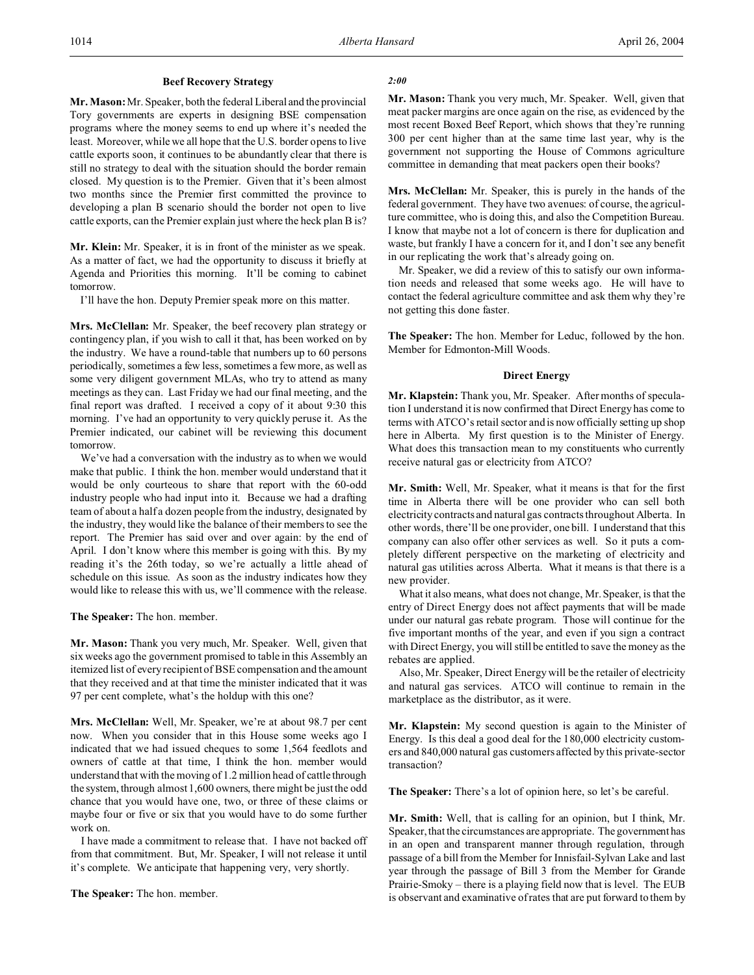## **Beef Recovery Strategy**

**Mr. Mason:** Mr. Speaker, both the federal Liberal and the provincial Tory governments are experts in designing BSE compensation programs where the money seems to end up where it's needed the least. Moreover, while we all hope that the U.S. border opens to live cattle exports soon, it continues to be abundantly clear that there is still no strategy to deal with the situation should the border remain closed. My question is to the Premier. Given that it's been almost two months since the Premier first committed the province to developing a plan B scenario should the border not open to live cattle exports, can the Premier explain just where the heck plan B is?

**Mr. Klein:** Mr. Speaker, it is in front of the minister as we speak. As a matter of fact, we had the opportunity to discuss it briefly at Agenda and Priorities this morning. It'll be coming to cabinet tomorrow.

I'll have the hon. Deputy Premier speak more on this matter.

**Mrs. McClellan:** Mr. Speaker, the beef recovery plan strategy or contingency plan, if you wish to call it that, has been worked on by the industry. We have a round-table that numbers up to 60 persons periodically, sometimes a few less, sometimes a few more, as well as some very diligent government MLAs, who try to attend as many meetings as they can. Last Friday we had our final meeting, and the final report was drafted. I received a copy of it about 9:30 this morning. I've had an opportunity to very quickly peruse it. As the Premier indicated, our cabinet will be reviewing this document tomorrow.

We've had a conversation with the industry as to when we would make that public. I think the hon. member would understand that it would be only courteous to share that report with the 60-odd industry people who had input into it. Because we had a drafting team of about a half a dozen people from the industry, designated by the industry, they would like the balance of their members to see the report. The Premier has said over and over again: by the end of April. I don't know where this member is going with this. By my reading it's the 26th today, so we're actually a little ahead of schedule on this issue. As soon as the industry indicates how they would like to release this with us, we'll commence with the release.

**The Speaker:** The hon. member.

**Mr. Mason:** Thank you very much, Mr. Speaker. Well, given that six weeks ago the government promised to table in this Assembly an itemized list of every recipient of BSE compensation and the amount that they received and at that time the minister indicated that it was 97 per cent complete, what's the holdup with this one?

**Mrs. McClellan:** Well, Mr. Speaker, we're at about 98.7 per cent now. When you consider that in this House some weeks ago I indicated that we had issued cheques to some 1,564 feedlots and owners of cattle at that time, I think the hon. member would understand that with the moving of 1.2 million head of cattle through the system, through almost 1,600 owners, there might be just the odd chance that you would have one, two, or three of these claims or maybe four or five or six that you would have to do some further work on.

I have made a commitment to release that. I have not backed off from that commitment. But, Mr. Speaker, I will not release it until it's complete. We anticipate that happening very, very shortly.

**The Speaker:** The hon. member.

### *2:00*

**Mr. Mason:** Thank you very much, Mr. Speaker. Well, given that meat packer margins are once again on the rise, as evidenced by the most recent Boxed Beef Report, which shows that they're running 300 per cent higher than at the same time last year, why is the government not supporting the House of Commons agriculture committee in demanding that meat packers open their books?

**Mrs. McClellan:** Mr. Speaker, this is purely in the hands of the federal government. They have two avenues: of course, the agriculture committee, who is doing this, and also the Competition Bureau. I know that maybe not a lot of concern is there for duplication and waste, but frankly I have a concern for it, and I don't see any benefit in our replicating the work that's already going on.

Mr. Speaker, we did a review of this to satisfy our own information needs and released that some weeks ago. He will have to contact the federal agriculture committee and ask them why they're not getting this done faster.

**The Speaker:** The hon. Member for Leduc, followed by the hon. Member for Edmonton-Mill Woods.

#### **Direct Energy**

**Mr. Klapstein:** Thank you, Mr. Speaker. After months of speculation I understand it is now confirmed that Direct Energy has come to terms with ATCO's retail sector and is now officially setting up shop here in Alberta. My first question is to the Minister of Energy. What does this transaction mean to my constituents who currently receive natural gas or electricity from ATCO?

**Mr. Smith:** Well, Mr. Speaker, what it means is that for the first time in Alberta there will be one provider who can sell both electricity contracts and natural gas contracts throughout Alberta. In other words, there'll be one provider, one bill. I understand that this company can also offer other services as well. So it puts a completely different perspective on the marketing of electricity and natural gas utilities across Alberta. What it means is that there is a new provider.

What it also means, what does not change, Mr. Speaker, is that the entry of Direct Energy does not affect payments that will be made under our natural gas rebate program. Those will continue for the five important months of the year, and even if you sign a contract with Direct Energy, you will still be entitled to save the money as the rebates are applied.

Also, Mr. Speaker, Direct Energy will be the retailer of electricity and natural gas services. ATCO will continue to remain in the marketplace as the distributor, as it were.

**Mr. Klapstein:** My second question is again to the Minister of Energy. Is this deal a good deal for the 180,000 electricity customers and 840,000 natural gas customers affected by this private-sector transaction?

**The Speaker:** There's a lot of opinion here, so let's be careful.

**Mr. Smith:** Well, that is calling for an opinion, but I think, Mr. Speaker, that the circumstances are appropriate. The government has in an open and transparent manner through regulation, through passage of a bill from the Member for Innisfail-Sylvan Lake and last year through the passage of Bill 3 from the Member for Grande Prairie-Smoky – there is a playing field now that is level. The EUB is observant and examinative of rates that are put forward to them by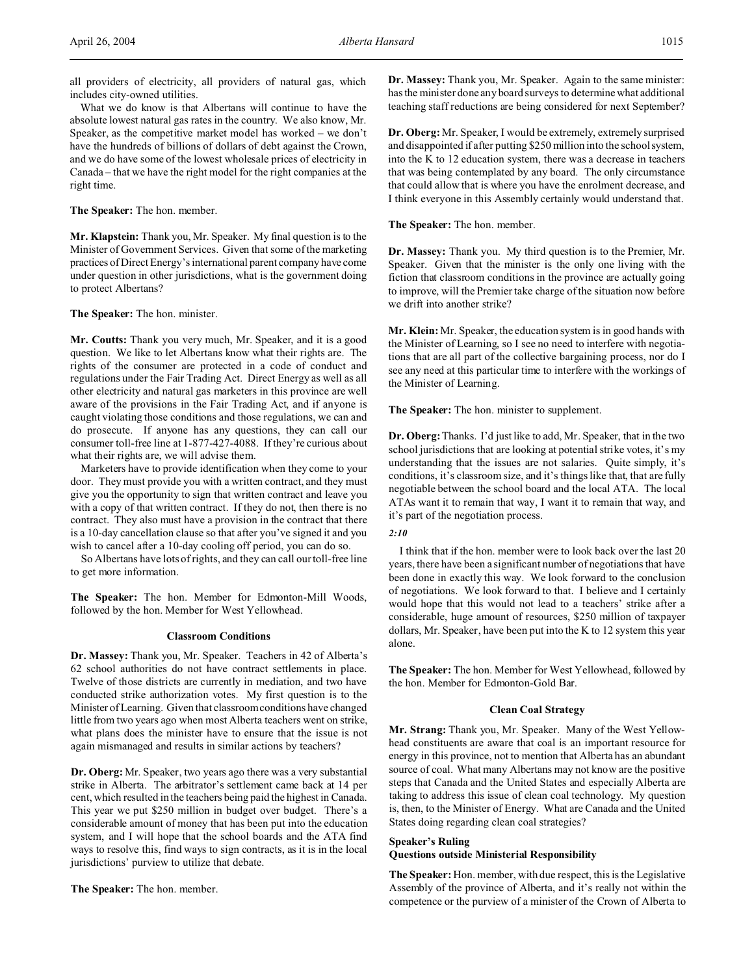all providers of electricity, all providers of natural gas, which includes city-owned utilities.

What we do know is that Albertans will continue to have the absolute lowest natural gas rates in the country. We also know, Mr. Speaker, as the competitive market model has worked – we don't have the hundreds of billions of dollars of debt against the Crown, and we do have some of the lowest wholesale prices of electricity in Canada – that we have the right model for the right companies at the right time.

## **The Speaker:** The hon. member.

**Mr. Klapstein:** Thank you, Mr. Speaker. My final question is to the Minister of Government Services. Given that some of the marketing practices of Direct Energy's international parent company have come under question in other jurisdictions, what is the government doing to protect Albertans?

#### **The Speaker:** The hon. minister.

**Mr. Coutts:** Thank you very much, Mr. Speaker, and it is a good question. We like to let Albertans know what their rights are. The rights of the consumer are protected in a code of conduct and regulations under the Fair Trading Act. Direct Energy as well as all other electricity and natural gas marketers in this province are well aware of the provisions in the Fair Trading Act, and if anyone is caught violating those conditions and those regulations, we can and do prosecute. If anyone has any questions, they can call our consumer toll-free line at 1-877-427-4088. If they're curious about what their rights are, we will advise them.

Marketers have to provide identification when they come to your door. They must provide you with a written contract, and they must give you the opportunity to sign that written contract and leave you with a copy of that written contract. If they do not, then there is no contract. They also must have a provision in the contract that there is a 10-day cancellation clause so that after you've signed it and you wish to cancel after a 10-day cooling off period, you can do so.

So Albertans have lots of rights, and they can call our toll-free line to get more information.

**The Speaker:** The hon. Member for Edmonton-Mill Woods, followed by the hon. Member for West Yellowhead.

#### **Classroom Conditions**

**Dr. Massey:** Thank you, Mr. Speaker. Teachers in 42 of Alberta's 62 school authorities do not have contract settlements in place. Twelve of those districts are currently in mediation, and two have conducted strike authorization votes. My first question is to the Minister of Learning. Given that classroom conditions have changed little from two years ago when most Alberta teachers went on strike, what plans does the minister have to ensure that the issue is not again mismanaged and results in similar actions by teachers?

**Dr. Oberg:** Mr. Speaker, two years ago there was a very substantial strike in Alberta. The arbitrator's settlement came back at 14 per cent, which resulted in the teachers being paid the highest in Canada. This year we put \$250 million in budget over budget. There's a considerable amount of money that has been put into the education system, and I will hope that the school boards and the ATA find ways to resolve this, find ways to sign contracts, as it is in the local jurisdictions' purview to utilize that debate.

**The Speaker:** The hon. member.

**Dr. Massey:** Thank you, Mr. Speaker. Again to the same minister: has the minister done any board surveys to determine what additional teaching staff reductions are being considered for next September?

**Dr. Oberg:** Mr. Speaker, I would be extremely, extremely surprised and disappointed if after putting \$250 million into the school system, into the K to 12 education system, there was a decrease in teachers that was being contemplated by any board. The only circumstance that could allow that is where you have the enrolment decrease, and I think everyone in this Assembly certainly would understand that.

**The Speaker:** The hon. member.

**Dr. Massey:** Thank you. My third question is to the Premier, Mr. Speaker. Given that the minister is the only one living with the fiction that classroom conditions in the province are actually going to improve, will the Premier take charge of the situation now before we drift into another strike?

**Mr. Klein:** Mr. Speaker, the education system is in good hands with the Minister of Learning, so I see no need to interfere with negotiations that are all part of the collective bargaining process, nor do I see any need at this particular time to interfere with the workings of the Minister of Learning.

**The Speaker:** The hon. minister to supplement.

**Dr. Oberg:**Thanks. I'd just like to add, Mr. Speaker, that in the two school jurisdictions that are looking at potential strike votes, it's my understanding that the issues are not salaries. Quite simply, it's conditions, it's classroom size, and it's things like that, that are fully negotiable between the school board and the local ATA. The local ATAs want it to remain that way, I want it to remain that way, and it's part of the negotiation process.

# *2:10*

I think that if the hon. member were to look back over the last 20 years, there have been a significant number of negotiations that have been done in exactly this way. We look forward to the conclusion of negotiations. We look forward to that. I believe and I certainly would hope that this would not lead to a teachers' strike after a considerable, huge amount of resources, \$250 million of taxpayer dollars, Mr. Speaker, have been put into the K to 12 system this year alone.

**The Speaker:** The hon. Member for West Yellowhead, followed by the hon. Member for Edmonton-Gold Bar.

# **Clean Coal Strategy**

**Mr. Strang:** Thank you, Mr. Speaker. Many of the West Yellowhead constituents are aware that coal is an important resource for energy in this province, not to mention that Alberta has an abundant source of coal. What many Albertans may not know are the positive steps that Canada and the United States and especially Alberta are taking to address this issue of clean coal technology. My question is, then, to the Minister of Energy. What are Canada and the United States doing regarding clean coal strategies?

# **Speaker's Ruling**

# **Questions outside Ministerial Responsibility**

**The Speaker:** Hon. member, with due respect, this is the Legislative Assembly of the province of Alberta, and it's really not within the competence or the purview of a minister of the Crown of Alberta to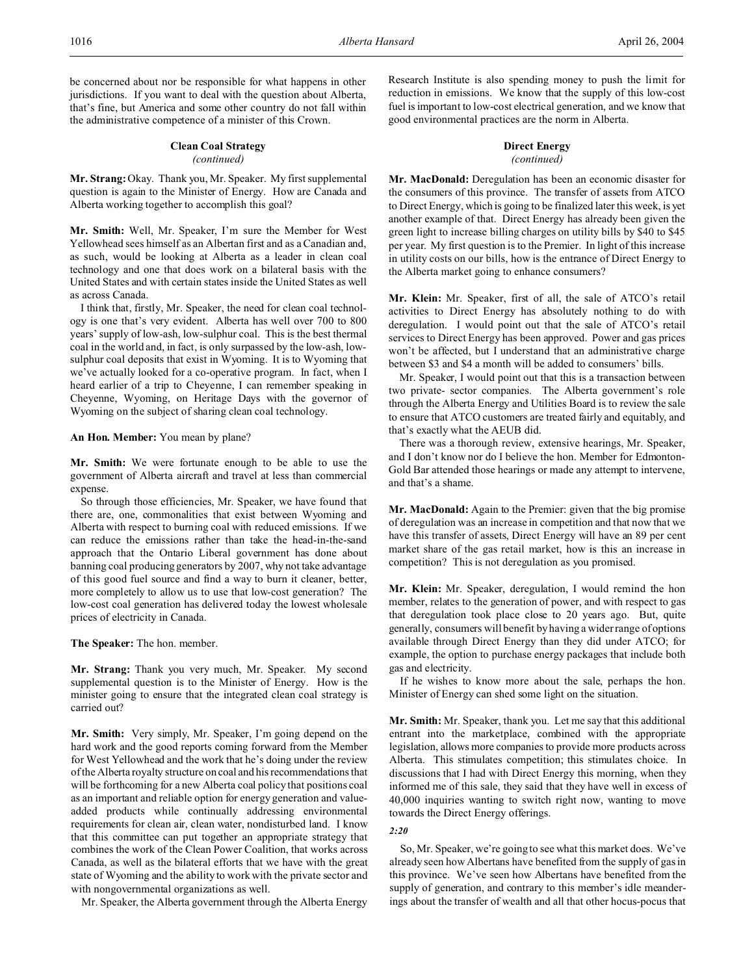### **Clean Coal Strategy** *(continued)*

**Mr. Strang:**Okay. Thank you, Mr. Speaker. My first supplemental question is again to the Minister of Energy. How are Canada and Alberta working together to accomplish this goal?

**Mr. Smith:** Well, Mr. Speaker, I'm sure the Member for West Yellowhead sees himself as an Albertan first and as a Canadian and, as such, would be looking at Alberta as a leader in clean coal technology and one that does work on a bilateral basis with the United States and with certain states inside the United States as well as across Canada.

I think that, firstly, Mr. Speaker, the need for clean coal technology is one that's very evident. Alberta has well over 700 to 800 years' supply of low-ash, low-sulphur coal. This is the best thermal coal in the world and, in fact, is only surpassed by the low-ash, lowsulphur coal deposits that exist in Wyoming. It is to Wyoming that we've actually looked for a co-operative program. In fact, when I heard earlier of a trip to Cheyenne, I can remember speaking in Cheyenne, Wyoming, on Heritage Days with the governor of Wyoming on the subject of sharing clean coal technology.

### **An Hon. Member:** You mean by plane?

**Mr. Smith:** We were fortunate enough to be able to use the government of Alberta aircraft and travel at less than commercial expense.

So through those efficiencies, Mr. Speaker, we have found that there are, one, commonalities that exist between Wyoming and Alberta with respect to burning coal with reduced emissions. If we can reduce the emissions rather than take the head-in-the-sand approach that the Ontario Liberal government has done about banning coal producing generators by 2007, why not take advantage of this good fuel source and find a way to burn it cleaner, better, more completely to allow us to use that low-cost generation? The low-cost coal generation has delivered today the lowest wholesale prices of electricity in Canada.

## **The Speaker:** The hon. member.

**Mr. Strang:** Thank you very much, Mr. Speaker. My second supplemental question is to the Minister of Energy. How is the minister going to ensure that the integrated clean coal strategy is carried out?

**Mr. Smith:** Very simply, Mr. Speaker, I'm going depend on the hard work and the good reports coming forward from the Member for West Yellowhead and the work that he's doing under the review of the Alberta royalty structure on coal and his recommendations that will be forthcoming for a new Alberta coal policy that positions coal as an important and reliable option for energy generation and valueadded products while continually addressing environmental requirements for clean air, clean water, nondisturbed land. I know that this committee can put together an appropriate strategy that combines the work of the Clean Power Coalition, that works across Canada, as well as the bilateral efforts that we have with the great state of Wyoming and the ability to work with the private sector and with nongovernmental organizations as well.

Mr. Speaker, the Alberta government through the Alberta Energy

Research Institute is also spending money to push the limit for reduction in emissions. We know that the supply of this low-cost fuel is important to low-cost electrical generation, and we know that good environmental practices are the norm in Alberta.

### **Direct Energy**

*(continued)*

**Mr. MacDonald:** Deregulation has been an economic disaster for the consumers of this province. The transfer of assets from ATCO to Direct Energy, which is going to be finalized later this week, is yet another example of that. Direct Energy has already been given the green light to increase billing charges on utility bills by \$40 to \$45 per year. My first question is to the Premier. In light of this increase in utility costs on our bills, how is the entrance of Direct Energy to the Alberta market going to enhance consumers?

**Mr. Klein:** Mr. Speaker, first of all, the sale of ATCO's retail activities to Direct Energy has absolutely nothing to do with deregulation. I would point out that the sale of ATCO's retail services to Direct Energy has been approved. Power and gas prices won't be affected, but I understand that an administrative charge between \$3 and \$4 a month will be added to consumers' bills.

Mr. Speaker, I would point out that this is a transaction between two private- sector companies. The Alberta government's role through the Alberta Energy and Utilities Board is to review the sale to ensure that ATCO customers are treated fairly and equitably, and that's exactly what the AEUB did.

There was a thorough review, extensive hearings, Mr. Speaker, and I don't know nor do I believe the hon. Member for Edmonton-Gold Bar attended those hearings or made any attempt to intervene, and that's a shame.

**Mr. MacDonald:** Again to the Premier: given that the big promise of deregulation was an increase in competition and that now that we have this transfer of assets, Direct Energy will have an 89 per cent market share of the gas retail market, how is this an increase in competition? This is not deregulation as you promised.

**Mr. Klein:** Mr. Speaker, deregulation, I would remind the hon member, relates to the generation of power, and with respect to gas that deregulation took place close to 20 years ago. But, quite generally, consumers will benefit by having a wider range of options available through Direct Energy than they did under ATCO; for example, the option to purchase energy packages that include both gas and electricity.

If he wishes to know more about the sale, perhaps the hon. Minister of Energy can shed some light on the situation.

**Mr. Smith:** Mr. Speaker, thank you. Let me say that this additional entrant into the marketplace, combined with the appropriate legislation, allows more companies to provide more products across Alberta. This stimulates competition; this stimulates choice. In discussions that I had with Direct Energy this morning, when they informed me of this sale, they said that they have well in excess of 40,000 inquiries wanting to switch right now, wanting to move towards the Direct Energy offerings.

## *2:20*

So, Mr. Speaker, we're going to see what this market does. We've already seen how Albertans have benefited from the supply of gas in this province. We've seen how Albertans have benefited from the supply of generation, and contrary to this member's idle meanderings about the transfer of wealth and all that other hocus-pocus that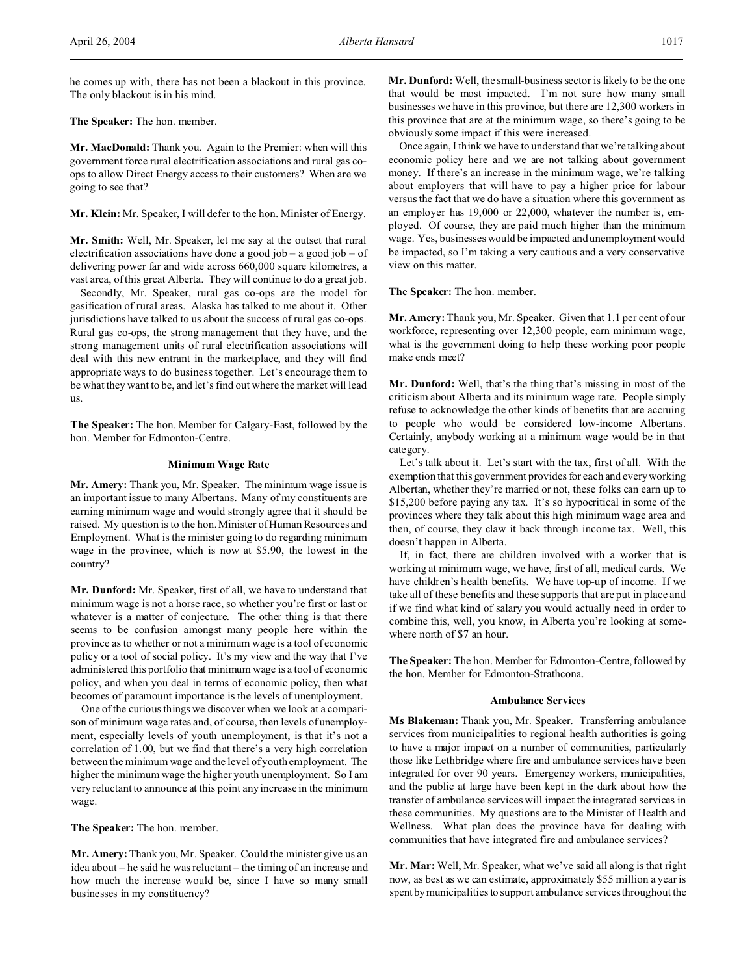he comes up with, there has not been a blackout in this province. The only blackout is in his mind.

**The Speaker:** The hon. member.

**Mr. MacDonald:** Thank you. Again to the Premier: when will this government force rural electrification associations and rural gas coops to allow Direct Energy access to their customers? When are we going to see that?

**Mr. Klein:** Mr. Speaker, I will defer to the hon. Minister of Energy.

**Mr. Smith:** Well, Mr. Speaker, let me say at the outset that rural electrification associations have done a good job – a good job – of delivering power far and wide across 660,000 square kilometres, a vast area, of this great Alberta. They will continue to do a great job.

Secondly, Mr. Speaker, rural gas co-ops are the model for gasification of rural areas. Alaska has talked to me about it. Other jurisdictions have talked to us about the success of rural gas co-ops. Rural gas co-ops, the strong management that they have, and the strong management units of rural electrification associations will deal with this new entrant in the marketplace, and they will find appropriate ways to do business together. Let's encourage them to be what they want to be, and let's find out where the market will lead us.

**The Speaker:** The hon. Member for Calgary-East, followed by the hon. Member for Edmonton-Centre.

#### **Minimum Wage Rate**

**Mr. Amery:** Thank you, Mr. Speaker. The minimum wage issue is an important issue to many Albertans. Many of my constituents are earning minimum wage and would strongly agree that it should be raised. My question is to the hon. Minister of Human Resources and Employment. What is the minister going to do regarding minimum wage in the province, which is now at \$5.90, the lowest in the country?

**Mr. Dunford:** Mr. Speaker, first of all, we have to understand that minimum wage is not a horse race, so whether you're first or last or whatever is a matter of conjecture. The other thing is that there seems to be confusion amongst many people here within the province as to whether or not a minimum wage is a tool of economic policy or a tool of social policy. It's my view and the way that I've administered this portfolio that minimum wage is a tool of economic policy, and when you deal in terms of economic policy, then what becomes of paramount importance is the levels of unemployment.

One of the curious things we discover when we look at a comparison of minimum wage rates and, of course, then levels of unemployment, especially levels of youth unemployment, is that it's not a correlation of 1.00, but we find that there's a very high correlation between the minimum wage and the level of youth employment. The higher the minimum wage the higher youth unemployment. So I am very reluctant to announce at this point any increase in the minimum wage.

**The Speaker:** The hon. member.

**Mr. Amery:** Thank you, Mr. Speaker. Could the minister give us an idea about – he said he was reluctant – the timing of an increase and how much the increase would be, since I have so many small businesses in my constituency?

**Mr. Dunford:** Well, the small-business sector is likely to be the one that would be most impacted. I'm not sure how many small businesses we have in this province, but there are 12,300 workers in this province that are at the minimum wage, so there's going to be obviously some impact if this were increased.

Once again, I think we have to understand that we're talking about economic policy here and we are not talking about government money. If there's an increase in the minimum wage, we're talking about employers that will have to pay a higher price for labour versus the fact that we do have a situation where this government as an employer has 19,000 or 22,000, whatever the number is, employed. Of course, they are paid much higher than the minimum wage. Yes, businesses would be impacted and unemployment would be impacted, so I'm taking a very cautious and a very conservative view on this matter.

**The Speaker:** The hon. member.

**Mr. Amery:** Thank you, Mr. Speaker. Given that 1.1 per cent of our workforce, representing over 12,300 people, earn minimum wage, what is the government doing to help these working poor people make ends meet?

**Mr. Dunford:** Well, that's the thing that's missing in most of the criticism about Alberta and its minimum wage rate. People simply refuse to acknowledge the other kinds of benefits that are accruing to people who would be considered low-income Albertans. Certainly, anybody working at a minimum wage would be in that category.

Let's talk about it. Let's start with the tax, first of all. With the exemption that this government provides for each and every working Albertan, whether they're married or not, these folks can earn up to \$15,200 before paying any tax. It's so hypocritical in some of the provinces where they talk about this high minimum wage area and then, of course, they claw it back through income tax. Well, this doesn't happen in Alberta.

If, in fact, there are children involved with a worker that is working at minimum wage, we have, first of all, medical cards. We have children's health benefits. We have top-up of income. If we take all of these benefits and these supports that are put in place and if we find what kind of salary you would actually need in order to combine this, well, you know, in Alberta you're looking at somewhere north of \$7 an hour.

**The Speaker:** The hon. Member for Edmonton-Centre, followed by the hon. Member for Edmonton-Strathcona.

#### **Ambulance Services**

**Ms Blakeman:** Thank you, Mr. Speaker. Transferring ambulance services from municipalities to regional health authorities is going to have a major impact on a number of communities, particularly those like Lethbridge where fire and ambulance services have been integrated for over 90 years. Emergency workers, municipalities, and the public at large have been kept in the dark about how the transfer of ambulance services will impact the integrated services in these communities. My questions are to the Minister of Health and Wellness. What plan does the province have for dealing with communities that have integrated fire and ambulance services?

**Mr. Mar:** Well, Mr. Speaker, what we've said all along is that right now, as best as we can estimate, approximately \$55 million a year is spentbymunicipalities to support ambulance services throughout the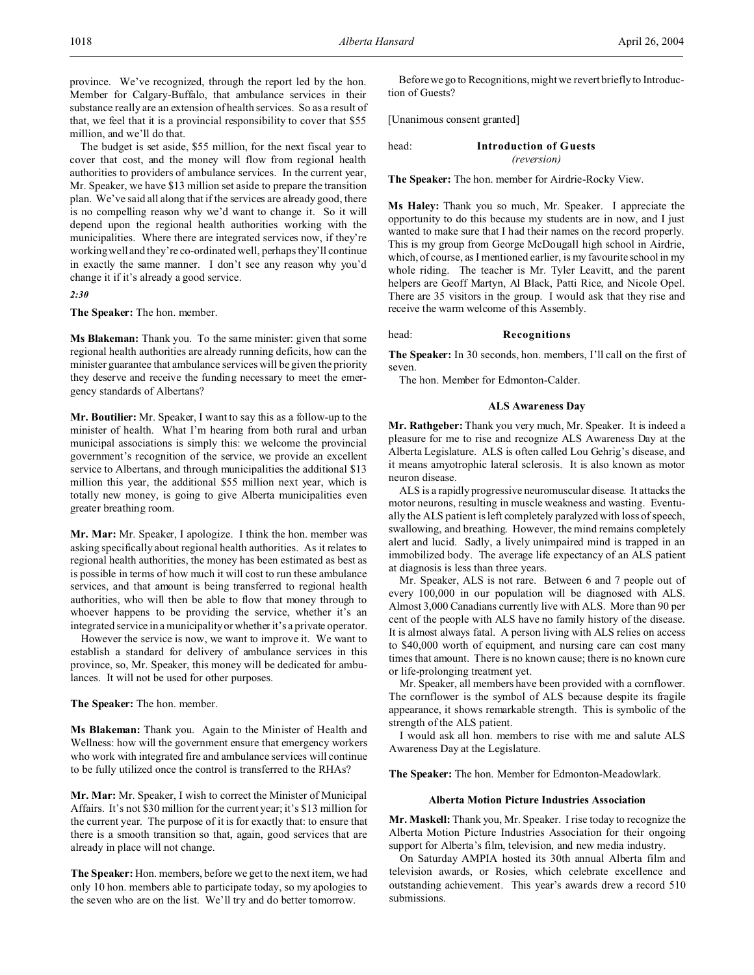province. We've recognized, through the report led by the hon. Member for Calgary-Buffalo, that ambulance services in their substance really are an extension of health services. So as a result of that, we feel that it is a provincial responsibility to cover that \$55 million, and we'll do that.

The budget is set aside, \$55 million, for the next fiscal year to cover that cost, and the money will flow from regional health authorities to providers of ambulance services. In the current year, Mr. Speaker, we have \$13 million set aside to prepare the transition plan. We've said all along that if the services are already good, there is no compelling reason why we'd want to change it. So it will depend upon the regional health authorities working with the municipalities. Where there are integrated services now, if they're working well and they're co-ordinated well, perhaps they'll continue in exactly the same manner. I don't see any reason why you'd change it if it's already a good service.

*2:30*

**The Speaker:** The hon. member.

**Ms Blakeman:** Thank you. To the same minister: given that some regional health authorities are already running deficits, how can the minister guarantee that ambulance services will be given the priority they deserve and receive the funding necessary to meet the emergency standards of Albertans?

**Mr. Boutilier:** Mr. Speaker, I want to say this as a follow-up to the minister of health. What I'm hearing from both rural and urban municipal associations is simply this: we welcome the provincial government's recognition of the service, we provide an excellent service to Albertans, and through municipalities the additional \$13 million this year, the additional \$55 million next year, which is totally new money, is going to give Alberta municipalities even greater breathing room.

**Mr. Mar:** Mr. Speaker, I apologize. I think the hon. member was asking specifically about regional health authorities. As it relates to regional health authorities, the money has been estimated as best as is possible in terms of how much it will cost to run these ambulance services, and that amount is being transferred to regional health authorities, who will then be able to flow that money through to whoever happens to be providing the service, whether it's an integrated service in a municipality or whether it's a private operator.

However the service is now, we want to improve it. We want to establish a standard for delivery of ambulance services in this province, so, Mr. Speaker, this money will be dedicated for ambulances. It will not be used for other purposes.

**The Speaker:** The hon. member.

**Ms Blakeman:** Thank you. Again to the Minister of Health and Wellness: how will the government ensure that emergency workers who work with integrated fire and ambulance services will continue to be fully utilized once the control is transferred to the RHAs?

**Mr. Mar:** Mr. Speaker, I wish to correct the Minister of Municipal Affairs. It's not \$30 million for the current year; it's \$13 million for the current year. The purpose of it is for exactly that: to ensure that there is a smooth transition so that, again, good services that are already in place will not change.

**The Speaker:** Hon. members, before we get to the next item, we had only 10 hon. members able to participate today, so my apologies to the seven who are on the list. We'll try and do better tomorrow.

Before we go to Recognitions, might we revert briefly to Introduction of Guests?

[Unanimous consent granted]

| head: | <b>Introduction of Guests</b> |
|-------|-------------------------------|
|       | <i>(reversion)</i>            |

**The Speaker:** The hon. member for Airdrie-Rocky View.

**Ms Haley:** Thank you so much, Mr. Speaker. I appreciate the opportunity to do this because my students are in now, and I just wanted to make sure that I had their names on the record properly. This is my group from George McDougall high school in Airdrie, which, of course, as I mentioned earlier, is my favourite school in my whole riding. The teacher is Mr. Tyler Leavitt, and the parent helpers are Geoff Martyn, Al Black, Patti Rice, and Nicole Opel. There are 35 visitors in the group. I would ask that they rise and receive the warm welcome of this Assembly.

#### head: **Recognitions**

**The Speaker:** In 30 seconds, hon. members, I'll call on the first of seven.

The hon. Member for Edmonton-Calder.

### **ALS Awareness Day**

**Mr. Rathgeber:** Thank you very much, Mr. Speaker. It is indeed a pleasure for me to rise and recognize ALS Awareness Day at the Alberta Legislature. ALS is often called Lou Gehrig's disease, and it means amyotrophic lateral sclerosis. It is also known as motor neuron disease.

ALS is a rapidly progressive neuromuscular disease. It attacks the motor neurons, resulting in muscle weakness and wasting. Eventually the ALS patient is left completely paralyzed with loss of speech, swallowing, and breathing. However, the mind remains completely alert and lucid. Sadly, a lively unimpaired mind is trapped in an immobilized body. The average life expectancy of an ALS patient at diagnosis is less than three years.

Mr. Speaker, ALS is not rare. Between 6 and 7 people out of every 100,000 in our population will be diagnosed with ALS. Almost 3,000 Canadians currently live with ALS. More than 90 per cent of the people with ALS have no family history of the disease. It is almost always fatal. A person living with ALS relies on access to \$40,000 worth of equipment, and nursing care can cost many times that amount. There is no known cause; there is no known cure or life-prolonging treatment yet.

Mr. Speaker, all members have been provided with a cornflower. The cornflower is the symbol of ALS because despite its fragile appearance, it shows remarkable strength. This is symbolic of the strength of the ALS patient.

I would ask all hon. members to rise with me and salute ALS Awareness Day at the Legislature.

**The Speaker:** The hon. Member for Edmonton-Meadowlark.

### **Alberta Motion Picture Industries Association**

**Mr. Maskell:** Thank you, Mr. Speaker. I rise today to recognize the Alberta Motion Picture Industries Association for their ongoing support for Alberta's film, television, and new media industry.

On Saturday AMPIA hosted its 30th annual Alberta film and television awards, or Rosies, which celebrate excellence and outstanding achievement. This year's awards drew a record 510 submissions.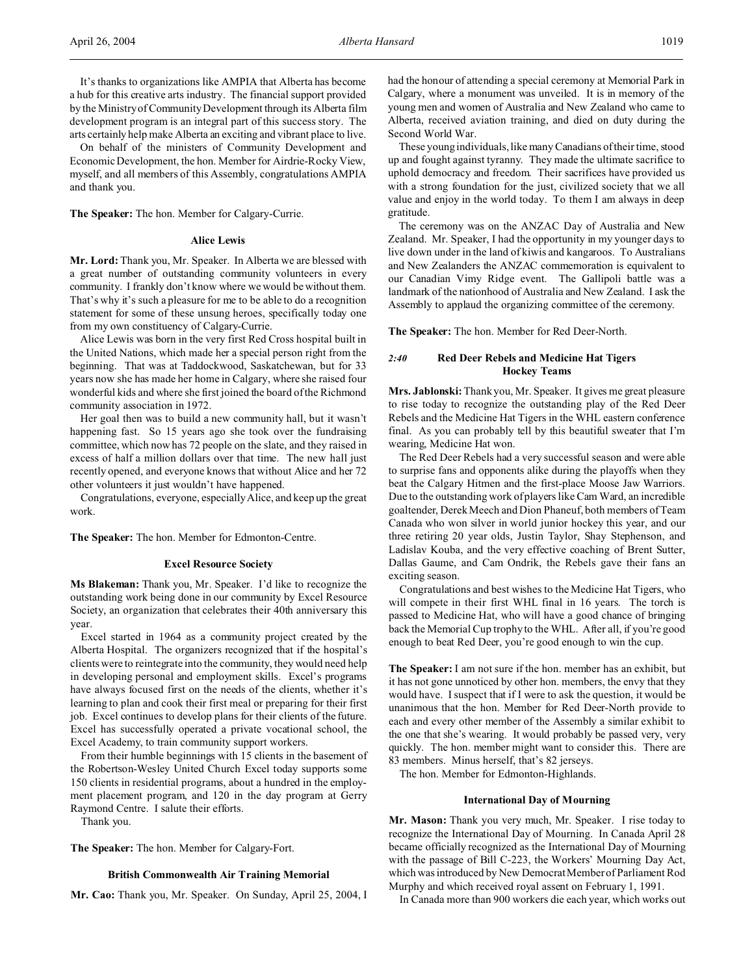On behalf of the ministers of Community Development and Economic Development, the hon. Member for Airdrie-Rocky View, myself, and all members of this Assembly, congratulations AMPIA and thank you.

**The Speaker:** The hon. Member for Calgary-Currie.

### **Alice Lewis**

**Mr. Lord:** Thank you, Mr. Speaker. In Alberta we are blessed with a great number of outstanding community volunteers in every community. I frankly don't know where we would be without them. That's why it's such a pleasure for me to be able to do a recognition statement for some of these unsung heroes, specifically today one from my own constituency of Calgary-Currie.

Alice Lewis was born in the very first Red Cross hospital built in the United Nations, which made her a special person right from the beginning. That was at Taddockwood, Saskatchewan, but for 33 years now she has made her home in Calgary, where she raised four wonderful kids and where she first joined the board of the Richmond community association in 1972.

Her goal then was to build a new community hall, but it wasn't happening fast. So 15 years ago she took over the fundraising committee, which now has 72 people on the slate, and they raised in excess of half a million dollars over that time. The new hall just recently opened, and everyone knows that without Alice and her 72 other volunteers it just wouldn't have happened.

Congratulations, everyone, especially Alice, and keep up the great work.

**The Speaker:** The hon. Member for Edmonton-Centre.

#### **Excel Resource Society**

**Ms Blakeman:** Thank you, Mr. Speaker. I'd like to recognize the outstanding work being done in our community by Excel Resource Society, an organization that celebrates their 40th anniversary this year.

Excel started in 1964 as a community project created by the Alberta Hospital. The organizers recognized that if the hospital's clients were to reintegrate into the community, they would need help in developing personal and employment skills. Excel's programs have always focused first on the needs of the clients, whether it's learning to plan and cook their first meal or preparing for their first job. Excel continues to develop plans for their clients of the future. Excel has successfully operated a private vocational school, the Excel Academy, to train community support workers.

From their humble beginnings with 15 clients in the basement of the Robertson-Wesley United Church Excel today supports some 150 clients in residential programs, about a hundred in the employment placement program, and 120 in the day program at Gerry Raymond Centre. I salute their efforts.

Thank you.

**The Speaker:** The hon. Member for Calgary-Fort.

### **British Commonwealth Air Training Memorial**

**Mr. Cao:** Thank you, Mr. Speaker. On Sunday, April 25, 2004, I

had the honour of attending a special ceremony at Memorial Park in Calgary, where a monument was unveiled. It is in memory of the young men and women of Australia and New Zealand who came to Alberta, received aviation training, and died on duty during the Second World War.

These young individuals, like many Canadians of their time, stood up and fought against tyranny. They made the ultimate sacrifice to uphold democracy and freedom. Their sacrifices have provided us with a strong foundation for the just, civilized society that we all value and enjoy in the world today. To them I am always in deep gratitude.

The ceremony was on the ANZAC Day of Australia and New Zealand. Mr. Speaker, I had the opportunity in my younger days to live down under in the land of kiwis and kangaroos. To Australians and New Zealanders the ANZAC commemoration is equivalent to our Canadian Vimy Ridge event. The Gallipoli battle was a landmark of the nationhood of Australia and New Zealand. I ask the Assembly to applaud the organizing committee of the ceremony.

**The Speaker:** The hon. Member for Red Deer-North.

# *2:40* **Red Deer Rebels and Medicine Hat Tigers Hockey Teams**

**Mrs. Jablonski:** Thank you, Mr. Speaker. It gives me great pleasure to rise today to recognize the outstanding play of the Red Deer Rebels and the Medicine Hat Tigers in the WHL eastern conference final. As you can probably tell by this beautiful sweater that I'm wearing, Medicine Hat won.

The Red Deer Rebels had a very successful season and were able to surprise fans and opponents alike during the playoffs when they beat the Calgary Hitmen and the first-place Moose Jaw Warriors. Due to the outstanding work of players like Cam Ward, an incredible goaltender, Derek Meech and Dion Phaneuf, both members of Team Canada who won silver in world junior hockey this year, and our three retiring 20 year olds, Justin Taylor, Shay Stephenson, and Ladislav Kouba, and the very effective coaching of Brent Sutter, Dallas Gaume, and Cam Ondrik, the Rebels gave their fans an exciting season.

Congratulations and best wishes to the Medicine Hat Tigers, who will compete in their first WHL final in 16 years. The torch is passed to Medicine Hat, who will have a good chance of bringing back the Memorial Cup trophy to the WHL. After all, if you're good enough to beat Red Deer, you're good enough to win the cup.

**The Speaker:** I am not sure if the hon. member has an exhibit, but it has not gone unnoticed by other hon. members, the envy that they would have. I suspect that if I were to ask the question, it would be unanimous that the hon. Member for Red Deer-North provide to each and every other member of the Assembly a similar exhibit to the one that she's wearing. It would probably be passed very, very quickly. The hon. member might want to consider this. There are 83 members. Minus herself, that's 82 jerseys.

The hon. Member for Edmonton-Highlands.

### **International Day of Mourning**

**Mr. Mason:** Thank you very much, Mr. Speaker. I rise today to recognize the International Day of Mourning. In Canada April 28 became officially recognized as the International Day of Mourning with the passage of Bill C-223, the Workers' Mourning Day Act, which was introduced by New Democrat Member of Parliament Rod Murphy and which received royal assent on February 1, 1991.

In Canada more than 900 workers die each year, which works out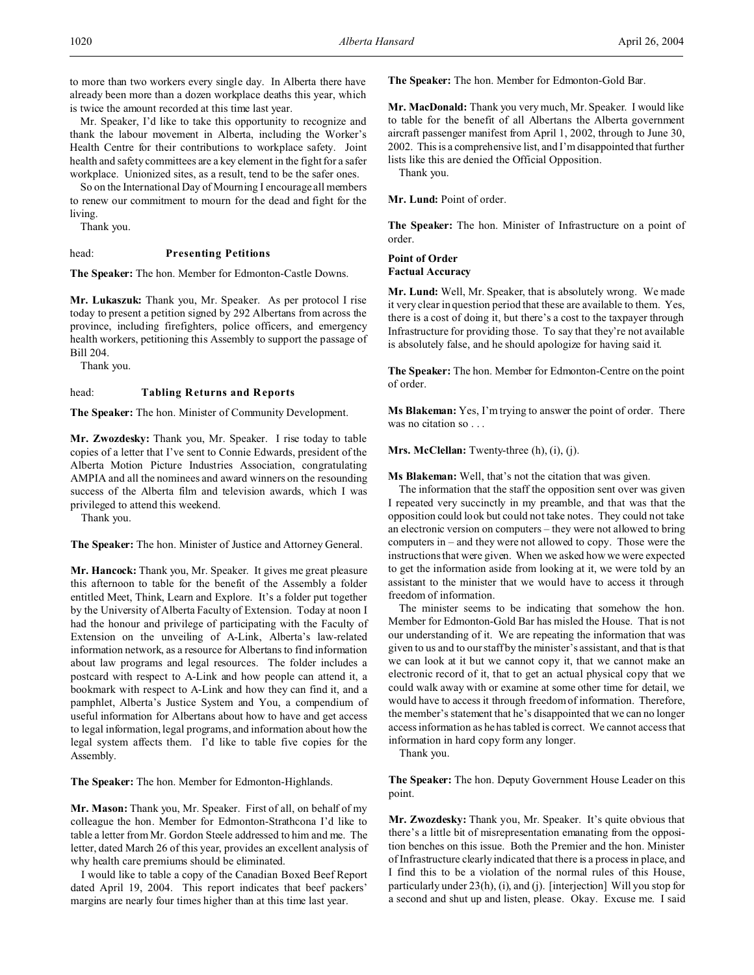to more than two workers every single day. In Alberta there have already been more than a dozen workplace deaths this year, which is twice the amount recorded at this time last year.

Mr. Speaker, I'd like to take this opportunity to recognize and thank the labour movement in Alberta, including the Worker's Health Centre for their contributions to workplace safety. Joint health and safety committees are a key element in the fight for a safer workplace. Unionized sites, as a result, tend to be the safer ones.

So on the International Day of Mourning I encourage all members to renew our commitment to mourn for the dead and fight for the living.

Thank you.

# head: **Presenting Petitions**

**The Speaker:** The hon. Member for Edmonton-Castle Downs.

**Mr. Lukaszuk:** Thank you, Mr. Speaker. As per protocol I rise today to present a petition signed by 292 Albertans from across the province, including firefighters, police officers, and emergency health workers, petitioning this Assembly to support the passage of Bill 204.

Thank you.

## head: **Tabling Returns and Reports**

**The Speaker:** The hon. Minister of Community Development.

**Mr. Zwozdesky:** Thank you, Mr. Speaker. I rise today to table copies of a letter that I've sent to Connie Edwards, president of the Alberta Motion Picture Industries Association, congratulating AMPIA and all the nominees and award winners on the resounding success of the Alberta film and television awards, which I was privileged to attend this weekend.

Thank you.

**The Speaker:** The hon. Minister of Justice and Attorney General.

**Mr. Hancock:** Thank you, Mr. Speaker. It gives me great pleasure this afternoon to table for the benefit of the Assembly a folder entitled Meet, Think, Learn and Explore. It's a folder put together by the University of Alberta Faculty of Extension. Today at noon I had the honour and privilege of participating with the Faculty of Extension on the unveiling of A-Link, Alberta's law-related information network, as a resource for Albertans to find information about law programs and legal resources. The folder includes a postcard with respect to A-Link and how people can attend it, a bookmark with respect to A-Link and how they can find it, and a pamphlet, Alberta's Justice System and You, a compendium of useful information for Albertans about how to have and get access to legal information, legal programs, and information about how the legal system affects them. I'd like to table five copies for the Assembly.

**The Speaker:** The hon. Member for Edmonton-Highlands.

**Mr. Mason:** Thank you, Mr. Speaker. First of all, on behalf of my colleague the hon. Member for Edmonton-Strathcona I'd like to table a letter from Mr. Gordon Steele addressed to him and me. The letter, dated March 26 of this year, provides an excellent analysis of why health care premiums should be eliminated.

I would like to table a copy of the Canadian Boxed Beef Report dated April 19, 2004. This report indicates that beef packers' margins are nearly four times higher than at this time last year.

**The Speaker:** The hon. Member for Edmonton-Gold Bar.

**Mr. MacDonald:** Thank you very much, Mr. Speaker. I would like to table for the benefit of all Albertans the Alberta government aircraft passenger manifest from April 1, 2002, through to June 30, 2002. This is a comprehensive list, and I'm disappointed that further lists like this are denied the Official Opposition.

Thank you.

**Mr. Lund:** Point of order.

**The Speaker:** The hon. Minister of Infrastructure on a point of order.

### **Point of Order Factual Accuracy**

**Mr. Lund:** Well, Mr. Speaker, that is absolutely wrong. We made it very clear in question period that these are available to them. Yes, there is a cost of doing it, but there's a cost to the taxpayer through Infrastructure for providing those. To say that they're not available is absolutely false, and he should apologize for having said it.

**The Speaker:** The hon. Member for Edmonton-Centre on the point of order.

**Ms Blakeman:** Yes, I'm trying to answer the point of order. There was no citation so . . .

**Mrs. McClellan:** Twenty-three (h), (i), (j).

**Ms Blakeman:** Well, that's not the citation that was given.

The information that the staff the opposition sent over was given I repeated very succinctly in my preamble, and that was that the opposition could look but could not take notes. They could not take an electronic version on computers – they were not allowed to bring computers in – and they were not allowed to copy. Those were the instructions that were given. When we asked how we were expected to get the information aside from looking at it, we were told by an assistant to the minister that we would have to access it through freedom of information.

The minister seems to be indicating that somehow the hon. Member for Edmonton-Gold Bar has misled the House. That is not our understanding of it. We are repeating the information that was given to us and to our staff by the minister's assistant, and that is that we can look at it but we cannot copy it, that we cannot make an electronic record of it, that to get an actual physical copy that we could walk away with or examine at some other time for detail, we would have to access it through freedom of information. Therefore, the member's statement that he's disappointed that we can no longer access information as he has tabled is correct. We cannot access that information in hard copy form any longer.

Thank you.

**The Speaker:** The hon. Deputy Government House Leader on this point.

**Mr. Zwozdesky:** Thank you, Mr. Speaker. It's quite obvious that there's a little bit of misrepresentation emanating from the opposition benches on this issue. Both the Premier and the hon. Minister of Infrastructure clearly indicated that there is a process in place, and I find this to be a violation of the normal rules of this House, particularly under 23(h), (i), and (j). [interjection] Will you stop for a second and shut up and listen, please. Okay. Excuse me. I said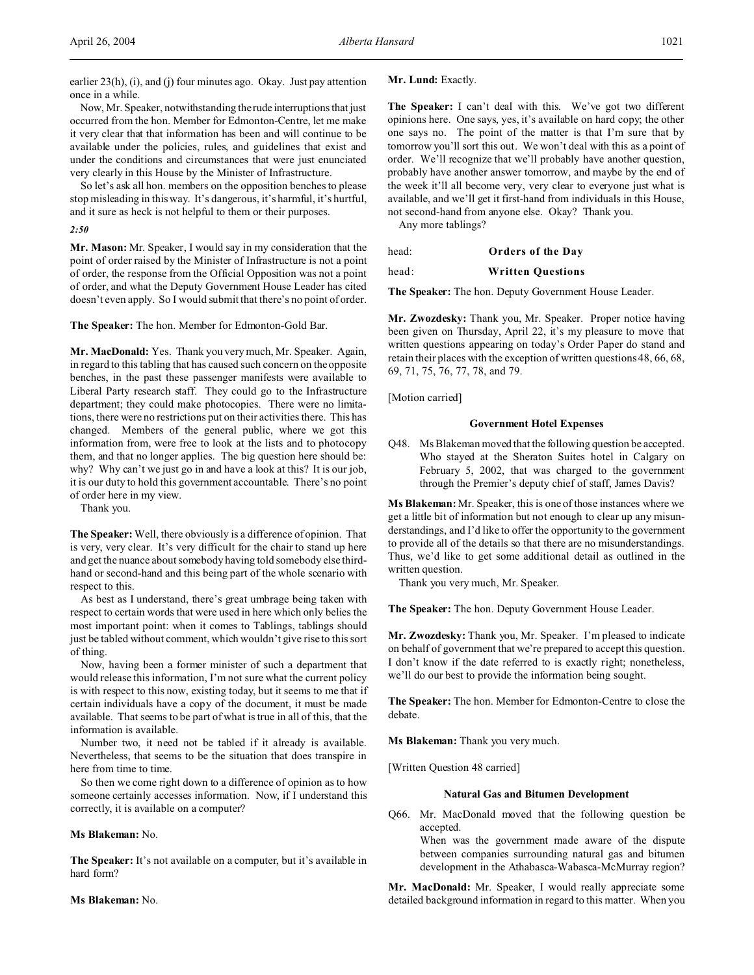earlier 23(h), (i), and (j) four minutes ago. Okay. Just pay attention once in a while.

Now, Mr. Speaker, notwithstanding the rude interruptions that just occurred from the hon. Member for Edmonton-Centre, let me make it very clear that that information has been and will continue to be available under the policies, rules, and guidelines that exist and under the conditions and circumstances that were just enunciated very clearly in this House by the Minister of Infrastructure.

So let's ask all hon. members on the opposition benches to please stop misleading in this way. It's dangerous, it's harmful, it's hurtful, and it sure as heck is not helpful to them or their purposes.

*2:50*

**Mr. Mason:** Mr. Speaker, I would say in my consideration that the point of order raised by the Minister of Infrastructure is not a point of order, the response from the Official Opposition was not a point of order, and what the Deputy Government House Leader has cited doesn't even apply. So I would submit that there's no point of order.

**The Speaker:** The hon. Member for Edmonton-Gold Bar.

**Mr. MacDonald:** Yes. Thank you very much, Mr. Speaker. Again, in regard to this tabling that has caused such concern on the opposite benches, in the past these passenger manifests were available to Liberal Party research staff. They could go to the Infrastructure department; they could make photocopies. There were no limitations, there were no restrictions put on their activities there. This has changed. Members of the general public, where we got this information from, were free to look at the lists and to photocopy them, and that no longer applies. The big question here should be: why? Why can't we just go in and have a look at this? It is our job, it is our duty to hold this government accountable. There's no point of order here in my view.

Thank you.

**The Speaker:** Well, there obviously is a difference of opinion. That is very, very clear. It's very difficult for the chair to stand up here and get the nuance about somebody having told somebody else thirdhand or second-hand and this being part of the whole scenario with respect to this.

As best as I understand, there's great umbrage being taken with respect to certain words that were used in here which only belies the most important point: when it comes to Tablings, tablings should just be tabled without comment, which wouldn't give rise to this sort of thing.

Now, having been a former minister of such a department that would release this information, I'm not sure what the current policy is with respect to this now, existing today, but it seems to me that if certain individuals have a copy of the document, it must be made available. That seems to be part of what is true in all of this, that the information is available.

Number two, it need not be tabled if it already is available. Nevertheless, that seems to be the situation that does transpire in here from time to time.

So then we come right down to a difference of opinion as to how someone certainly accesses information. Now, if I understand this correctly, it is available on a computer?

# **Ms Blakeman:** No.

**The Speaker:** It's not available on a computer, but it's available in hard form?

# **Ms Blakeman:** No.

# **Mr. Lund:** Exactly.

**The Speaker:** I can't deal with this. We've got two different opinions here. One says, yes, it's available on hard copy; the other one says no. The point of the matter is that I'm sure that by tomorrow you'll sort this out. We won't deal with this as a point of order. We'll recognize that we'll probably have another question, probably have another answer tomorrow, and maybe by the end of the week it'll all become very, very clear to everyone just what is available, and we'll get it first-hand from individuals in this House, not second-hand from anyone else. Okay? Thank you.

Any more tablings?

head: **Orders of the Day**

# head: **Written Questions**

**The Speaker:** The hon. Deputy Government House Leader.

**Mr. Zwozdesky:** Thank you, Mr. Speaker. Proper notice having been given on Thursday, April 22, it's my pleasure to move that written questions appearing on today's Order Paper do stand and retain their places with the exception of written questions 48, 66, 68, 69, 71, 75, 76, 77, 78, and 79.

[Motion carried]

## **Government Hotel Expenses**

Q48. Ms Blakeman moved that the following question be accepted. Who stayed at the Sheraton Suites hotel in Calgary on February 5, 2002, that was charged to the government through the Premier's deputy chief of staff, James Davis?

**Ms Blakeman:** Mr. Speaker, this is one of those instances where we get a little bit of information but not enough to clear up any misunderstandings, and I'd like to offer the opportunity to the government to provide all of the details so that there are no misunderstandings. Thus, we'd like to get some additional detail as outlined in the written question.

Thank you very much, Mr. Speaker.

**The Speaker:** The hon. Deputy Government House Leader.

**Mr. Zwozdesky:** Thank you, Mr. Speaker. I'm pleased to indicate on behalf of government that we're prepared to accept this question. I don't know if the date referred to is exactly right; nonetheless, we'll do our best to provide the information being sought.

**The Speaker:** The hon. Member for Edmonton-Centre to close the debate.

**Ms Blakeman:** Thank you very much.

[Written Question 48 carried]

### **Natural Gas and Bitumen Development**

Q66. Mr. MacDonald moved that the following question be accepted.

When was the government made aware of the dispute between companies surrounding natural gas and bitumen development in the Athabasca-Wabasca-McMurray region?

**Mr. MacDonald:** Mr. Speaker, I would really appreciate some detailed background information in regard to this matter. When you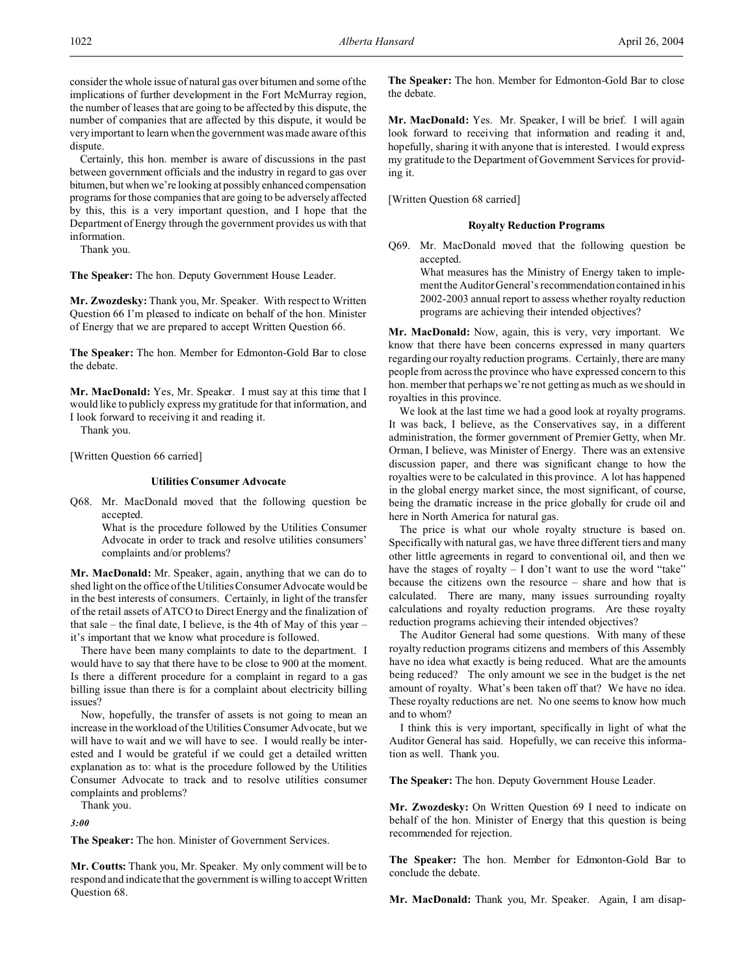consider the whole issue of natural gas over bitumen and some of the implications of further development in the Fort McMurray region, the number of leases that are going to be affected by this dispute, the number of companies that are affected by this dispute, it would be very important to learn when the government was made aware of this dispute.

Certainly, this hon. member is aware of discussions in the past between government officials and the industry in regard to gas over bitumen, but when we're looking at possibly enhanced compensation programs for those companies that are going to be adversely affected by this, this is a very important question, and I hope that the Department of Energy through the government provides us with that information.

Thank you.

**The Speaker:** The hon. Deputy Government House Leader.

**Mr. Zwozdesky:** Thank you, Mr. Speaker. With respect to Written Question 66 I'm pleased to indicate on behalf of the hon. Minister of Energy that we are prepared to accept Written Question 66.

**The Speaker:** The hon. Member for Edmonton-Gold Bar to close the debate.

**Mr. MacDonald:** Yes, Mr. Speaker. I must say at this time that I would like to publicly express my gratitude for that information, and I look forward to receiving it and reading it.

Thank you.

[Written Question 66 carried]

# **Utilities Consumer Advocate**

Q68. Mr. MacDonald moved that the following question be accepted.

> What is the procedure followed by the Utilities Consumer Advocate in order to track and resolve utilities consumers' complaints and/or problems?

**Mr. MacDonald:** Mr. Speaker, again, anything that we can do to shed light on the office of the Utilities Consumer Advocate would be in the best interests of consumers. Certainly, in light of the transfer of the retail assets of ATCO to Direct Energy and the finalization of that sale – the final date, I believe, is the 4th of May of this year – it's important that we know what procedure is followed.

There have been many complaints to date to the department. I would have to say that there have to be close to 900 at the moment. Is there a different procedure for a complaint in regard to a gas billing issue than there is for a complaint about electricity billing issues?

Now, hopefully, the transfer of assets is not going to mean an increase in the workload of the Utilities Consumer Advocate, but we will have to wait and we will have to see. I would really be interested and I would be grateful if we could get a detailed written explanation as to: what is the procedure followed by the Utilities Consumer Advocate to track and to resolve utilities consumer complaints and problems?

Thank you.

*3:00*

**The Speaker:** The hon. Minister of Government Services.

**Mr. Coutts:** Thank you, Mr. Speaker. My only comment will be to respond and indicate that the government is willing to accept Written Question 68.

**The Speaker:** The hon. Member for Edmonton-Gold Bar to close the debate.

**Mr. MacDonald:** Yes. Mr. Speaker, I will be brief. I will again look forward to receiving that information and reading it and, hopefully, sharing it with anyone that is interested. I would express my gratitude to the Department of Government Services for providing it.

[Written Question 68 carried]

#### **Royalty Reduction Programs**

Q69. Mr. MacDonald moved that the following question be accepted.

> What measures has the Ministry of Energy taken to implement the Auditor General's recommendation contained in his 2002-2003 annual report to assess whether royalty reduction programs are achieving their intended objectives?

**Mr. MacDonald:** Now, again, this is very, very important. We know that there have been concerns expressed in many quarters regarding our royalty reduction programs. Certainly, there are many people from across the province who have expressed concern to this hon. member that perhaps we're not getting as much as we should in royalties in this province.

We look at the last time we had a good look at royalty programs. It was back, I believe, as the Conservatives say, in a different administration, the former government of Premier Getty, when Mr. Orman, I believe, was Minister of Energy. There was an extensive discussion paper, and there was significant change to how the royalties were to be calculated in this province. A lot has happened in the global energy market since, the most significant, of course, being the dramatic increase in the price globally for crude oil and here in North America for natural gas.

The price is what our whole royalty structure is based on. Specifically with natural gas, we have three different tiers and many other little agreements in regard to conventional oil, and then we have the stages of royalty – I don't want to use the word "take" because the citizens own the resource – share and how that is calculated. There are many, many issues surrounding royalty calculations and royalty reduction programs. Are these royalty reduction programs achieving their intended objectives?

The Auditor General had some questions. With many of these royalty reduction programs citizens and members of this Assembly have no idea what exactly is being reduced. What are the amounts being reduced? The only amount we see in the budget is the net amount of royalty. What's been taken off that? We have no idea. These royalty reductions are net. No one seems to know how much and to whom?

I think this is very important, specifically in light of what the Auditor General has said. Hopefully, we can receive this information as well. Thank you.

**The Speaker:** The hon. Deputy Government House Leader.

**Mr. Zwozdesky:** On Written Question 69 I need to indicate on behalf of the hon. Minister of Energy that this question is being recommended for rejection.

**The Speaker:** The hon. Member for Edmonton-Gold Bar to conclude the debate.

**Mr. MacDonald:** Thank you, Mr. Speaker. Again, I am disap-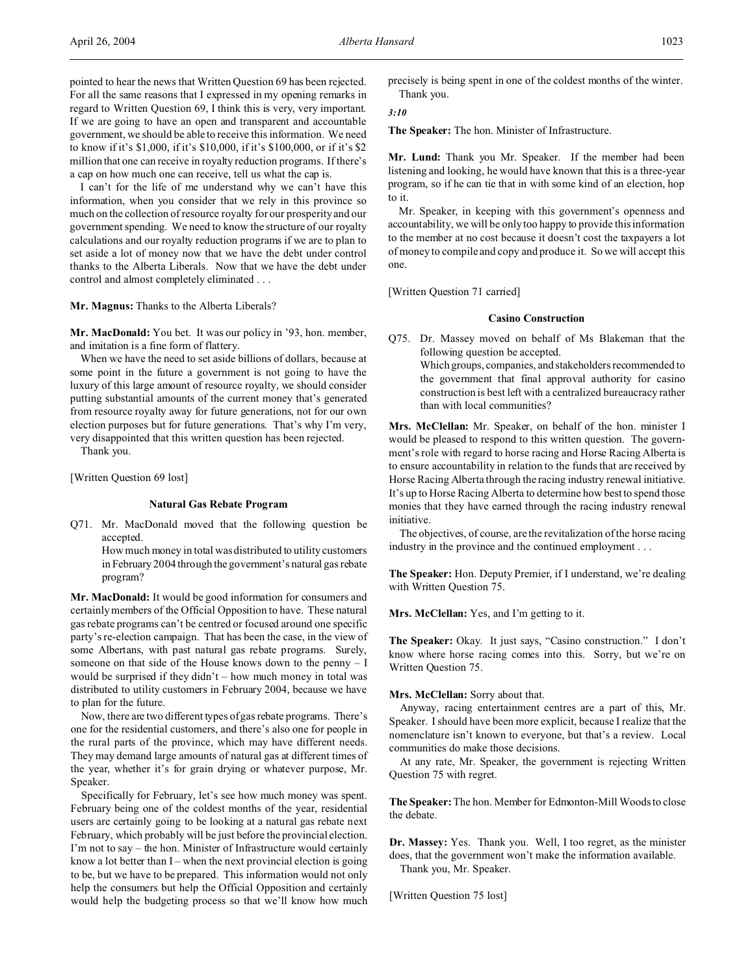pointed to hear the news that Written Question 69 has been rejected. For all the same reasons that I expressed in my opening remarks in regard to Written Question 69, I think this is very, very important. If we are going to have an open and transparent and accountable government, we should be able to receive this information. We need to know if it's \$1,000, if it's \$10,000, if it's \$100,000, or if it's \$2 million that one can receive in royalty reduction programs. If there's a cap on how much one can receive, tell us what the cap is.

I can't for the life of me understand why we can't have this information, when you consider that we rely in this province so much on the collection of resource royalty for our prosperity and our government spending. We need to know the structure of our royalty calculations and our royalty reduction programs if we are to plan to set aside a lot of money now that we have the debt under control thanks to the Alberta Liberals. Now that we have the debt under control and almost completely eliminated . . .

**Mr. Magnus:** Thanks to the Alberta Liberals?

**Mr. MacDonald:** You bet. It was our policy in '93, hon. member, and imitation is a fine form of flattery.

When we have the need to set aside billions of dollars, because at some point in the future a government is not going to have the luxury of this large amount of resource royalty, we should consider putting substantial amounts of the current money that's generated from resource royalty away for future generations, not for our own election purposes but for future generations. That's why I'm very, very disappointed that this written question has been rejected.

Thank you.

[Written Question 69 lost]

### **Natural Gas Rebate Program**

Q71. Mr. MacDonald moved that the following question be accepted.

> How much money in total was distributed to utility customers in February 2004 through the government's natural gas rebate program?

**Mr. MacDonald:** It would be good information for consumers and certainly members of the Official Opposition to have. These natural gas rebate programs can't be centred or focused around one specific party's re-election campaign. That has been the case, in the view of some Albertans, with past natural gas rebate programs. Surely, someone on that side of the House knows down to the penny  $-1$ would be surprised if they didn't – how much money in total was distributed to utility customers in February 2004, because we have to plan for the future.

Now, there are two different types of gas rebate programs. There's one for the residential customers, and there's also one for people in the rural parts of the province, which may have different needs. They may demand large amounts of natural gas at different times of the year, whether it's for grain drying or whatever purpose, Mr. Speaker.

Specifically for February, let's see how much money was spent. February being one of the coldest months of the year, residential users are certainly going to be looking at a natural gas rebate next February, which probably will be just before the provincial election. I'm not to say – the hon. Minister of Infrastructure would certainly know a lot better than  $I$  – when the next provincial election is going to be, but we have to be prepared. This information would not only help the consumers but help the Official Opposition and certainly would help the budgeting process so that we'll know how much

precisely is being spent in one of the coldest months of the winter. Thank you.

*3:10*

**The Speaker:** The hon. Minister of Infrastructure.

**Mr. Lund:** Thank you Mr. Speaker. If the member had been listening and looking, he would have known that this is a three-year program, so if he can tie that in with some kind of an election, hop to it.

Mr. Speaker, in keeping with this government's openness and accountability, we will be only too happy to provide this information to the member at no cost because it doesn't cost the taxpayers a lot of money to compile and copy and produce it. So we will accept this one.

[Written Question 71 carried]

#### **Casino Construction**

Q75. Dr. Massey moved on behalf of Ms Blakeman that the following question be accepted.

Which groups, companies, and stakeholders recommended to the government that final approval authority for casino construction is best left with a centralized bureaucracy rather than with local communities?

**Mrs. McClellan:** Mr. Speaker, on behalf of the hon. minister I would be pleased to respond to this written question. The government's role with regard to horse racing and Horse Racing Alberta is to ensure accountability in relation to the funds that are received by Horse Racing Alberta through the racing industry renewal initiative. It's up to Horse Racing Alberta to determine how best to spend those monies that they have earned through the racing industry renewal initiative.

The objectives, of course, are the revitalization of the horse racing industry in the province and the continued employment . . .

**The Speaker:** Hon. Deputy Premier, if I understand, we're dealing with Written Question 75.

**Mrs. McClellan:** Yes, and I'm getting to it.

**The Speaker:** Okay. It just says, "Casino construction." I don't know where horse racing comes into this. Sorry, but we're on Written Question 75.

**Mrs. McClellan:** Sorry about that.

Anyway, racing entertainment centres are a part of this, Mr. Speaker. I should have been more explicit, because I realize that the nomenclature isn't known to everyone, but that's a review. Local communities do make those decisions.

At any rate, Mr. Speaker, the government is rejecting Written Question 75 with regret.

**The Speaker:**The hon. Member for Edmonton-Mill Woods to close the debate.

**Dr. Massey:** Yes. Thank you. Well, I too regret, as the minister does, that the government won't make the information available. Thank you, Mr. Speaker.

[Written Question 75 lost]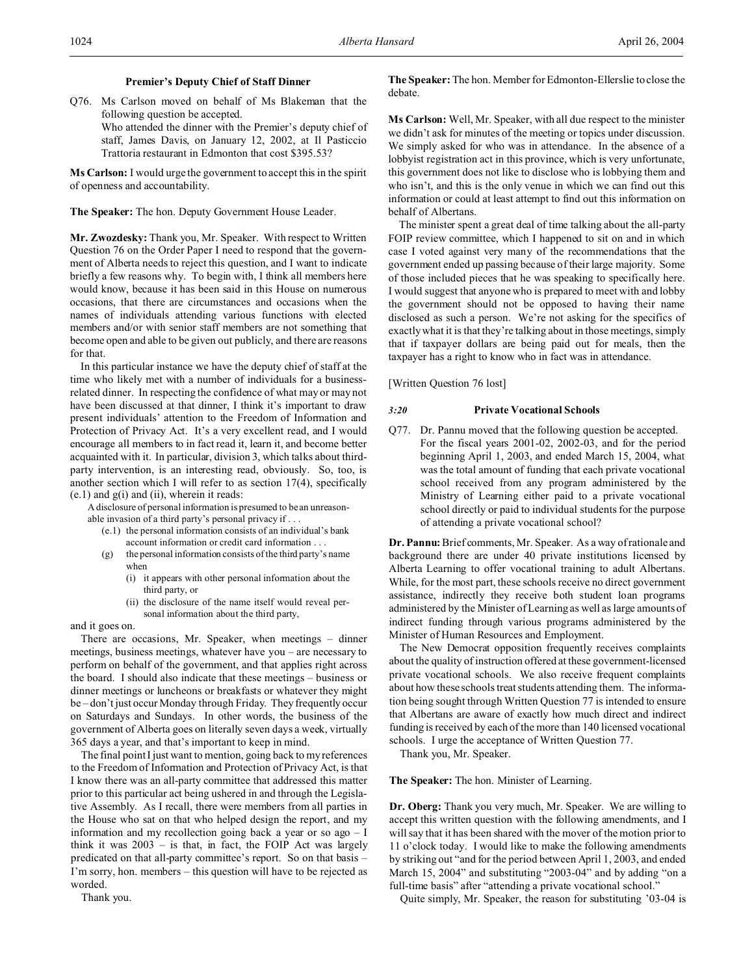#### **Premier's Deputy Chief of Staff Dinner**

- Q76. Ms Carlson moved on behalf of Ms Blakeman that the following question be accepted.
	- Who attended the dinner with the Premier's deputy chief of staff, James Davis, on January 12, 2002, at Il Pasticcio Trattoria restaurant in Edmonton that cost \$395.53?

**Ms Carlson:** I would urge the government to accept this in the spirit of openness and accountability.

**The Speaker:** The hon. Deputy Government House Leader.

**Mr. Zwozdesky:** Thank you, Mr. Speaker. With respect to Written Question 76 on the Order Paper I need to respond that the government of Alberta needs to reject this question, and I want to indicate briefly a few reasons why. To begin with, I think all members here would know, because it has been said in this House on numerous occasions, that there are circumstances and occasions when the names of individuals attending various functions with elected members and/or with senior staff members are not something that become open and able to be given out publicly, and there are reasons for that.

In this particular instance we have the deputy chief of staff at the time who likely met with a number of individuals for a businessrelated dinner. In respecting the confidence of what may or may not have been discussed at that dinner, I think it's important to draw present individuals' attention to the Freedom of Information and Protection of Privacy Act. It's a very excellent read, and I would encourage all members to in fact read it, learn it, and become better acquainted with it. In particular, division 3, which talks about thirdparty intervention, is an interesting read, obviously. So, too, is another section which I will refer to as section 17(4), specifically  $(e.1)$  and  $g(i)$  and  $(ii)$ , wherein it reads:

A disclosure of personal information is presumed to be an unreasonable invasion of a third party's personal privacy if . . .

- (e.1) the personal information consists of an individual's bank account information or credit card information . . .
- the personal information consists of the third party's name when
	- (i) it appears with other personal information about the third party, or
	- (ii) the disclosure of the name itself would reveal personal information about the third party,

and it goes on.

There are occasions, Mr. Speaker, when meetings – dinner meetings, business meetings, whatever have you – are necessary to perform on behalf of the government, and that applies right across the board. I should also indicate that these meetings – business or dinner meetings or luncheons or breakfasts or whatever they might be – don't just occur Monday through Friday. They frequently occur on Saturdays and Sundays. In other words, the business of the government of Alberta goes on literally seven days a week, virtually 365 days a year, and that's important to keep in mind.

The final point I just want to mention, going back to my references to the Freedom of Information and Protection of Privacy Act, is that I know there was an all-party committee that addressed this matter prior to this particular act being ushered in and through the Legislative Assembly. As I recall, there were members from all parties in the House who sat on that who helped design the report, and my information and my recollection going back a year or so ago – I think it was 2003 – is that, in fact, the FOIP Act was largely predicated on that all-party committee's report. So on that basis – I'm sorry, hon. members – this question will have to be rejected as worded.

Thank you.

**The Speaker:** The hon. Member for Edmonton-Ellerslie to close the debate.

**Ms Carlson:** Well, Mr. Speaker, with all due respect to the minister we didn't ask for minutes of the meeting or topics under discussion. We simply asked for who was in attendance. In the absence of a lobbyist registration act in this province, which is very unfortunate, this government does not like to disclose who is lobbying them and who isn't, and this is the only venue in which we can find out this information or could at least attempt to find out this information on behalf of Albertans.

The minister spent a great deal of time talking about the all-party FOIP review committee, which I happened to sit on and in which case I voted against very many of the recommendations that the government ended up passing because of their large majority. Some of those included pieces that he was speaking to specifically here. I would suggest that anyone who is prepared to meet with and lobby the government should not be opposed to having their name disclosed as such a person. We're not asking for the specifics of exactly what it is that they're talking about in those meetings, simply that if taxpayer dollars are being paid out for meals, then the taxpayer has a right to know who in fact was in attendance.

[Written Question 76 lost]

### *3:20* **Private Vocational Schools**

Q77. Dr. Pannu moved that the following question be accepted. For the fiscal years 2001-02, 2002-03, and for the period beginning April 1, 2003, and ended March 15, 2004, what was the total amount of funding that each private vocational school received from any program administered by the Ministry of Learning either paid to a private vocational school directly or paid to individual students for the purpose of attending a private vocational school?

**Dr. Pannu:** Brief comments, Mr. Speaker. As a way of rationale and background there are under 40 private institutions licensed by Alberta Learning to offer vocational training to adult Albertans. While, for the most part, these schools receive no direct government assistance, indirectly they receive both student loan programs administered by the Minister of Learning as well as large amounts of indirect funding through various programs administered by the Minister of Human Resources and Employment.

The New Democrat opposition frequently receives complaints about the quality of instruction offered at these government-licensed private vocational schools. We also receive frequent complaints about how these schools treat students attending them. The information being sought through Written Question 77 is intended to ensure that Albertans are aware of exactly how much direct and indirect funding is received by each of the more than 140 licensed vocational schools. I urge the acceptance of Written Question 77.

Thank you, Mr. Speaker.

### **The Speaker:** The hon. Minister of Learning.

**Dr. Oberg:** Thank you very much, Mr. Speaker. We are willing to accept this written question with the following amendments, and I will say that it has been shared with the mover of the motion prior to 11 o'clock today. I would like to make the following amendments by striking out "and for the period between April 1, 2003, and ended March 15, 2004" and substituting "2003-04" and by adding "on a full-time basis" after "attending a private vocational school."

Quite simply, Mr. Speaker, the reason for substituting '03-04 is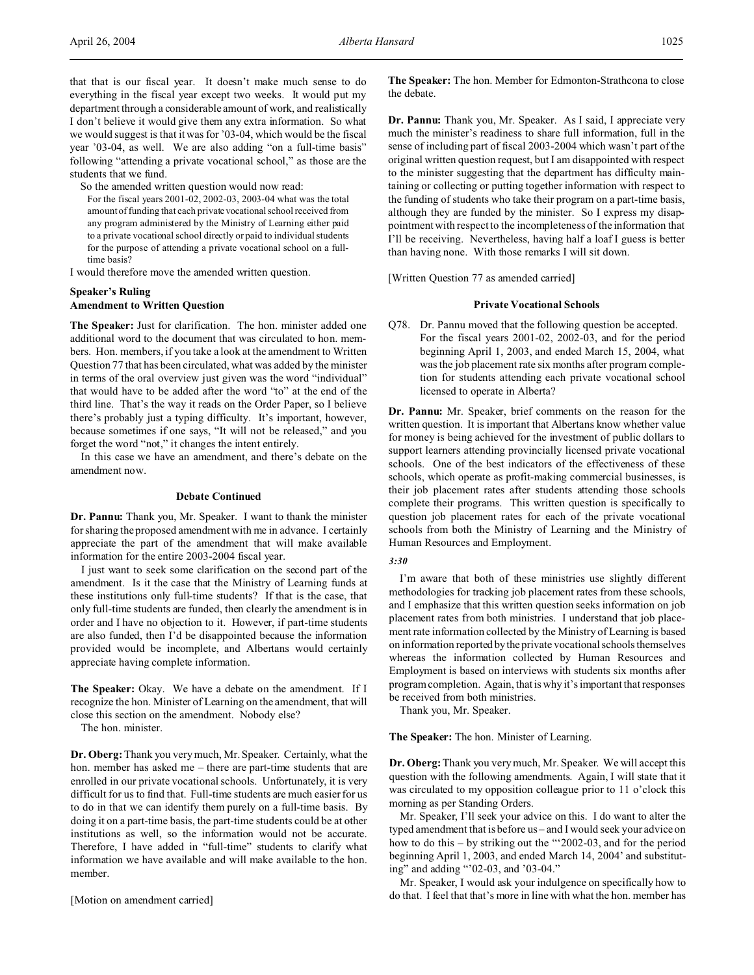So the amended written question would now read:

For the fiscal years 2001-02, 2002-03, 2003-04 what was the total amount of funding that each private vocational school received from any program administered by the Ministry of Learning either paid to a private vocational school directly or paid to individual students for the purpose of attending a private vocational school on a fulltime basis?

I would therefore move the amended written question.

# **Speaker's Ruling Amendment to Written Question**

**The Speaker:** Just for clarification. The hon. minister added one additional word to the document that was circulated to hon. members. Hon. members, if you take a look at the amendment to Written Question 77 that has been circulated, what was added by the minister in terms of the oral overview just given was the word "individual" that would have to be added after the word "to" at the end of the third line. That's the way it reads on the Order Paper, so I believe there's probably just a typing difficulty. It's important, however, because sometimes if one says, "It will not be released," and you forget the word "not," it changes the intent entirely.

In this case we have an amendment, and there's debate on the amendment now.

#### **Debate Continued**

**Dr. Pannu:** Thank you, Mr. Speaker. I want to thank the minister for sharing the proposed amendment with me in advance. I certainly appreciate the part of the amendment that will make available information for the entire 2003-2004 fiscal year.

I just want to seek some clarification on the second part of the amendment. Is it the case that the Ministry of Learning funds at these institutions only full-time students? If that is the case, that only full-time students are funded, then clearly the amendment is in order and I have no objection to it. However, if part-time students are also funded, then I'd be disappointed because the information provided would be incomplete, and Albertans would certainly appreciate having complete information.

The Speaker: Okay. We have a debate on the amendment. If I recognize the hon. Minister of Learning on the amendment, that will close this section on the amendment. Nobody else?

The hon. minister.

**Dr. Oberg:**Thank you very much, Mr. Speaker. Certainly, what the hon. member has asked me – there are part-time students that are enrolled in our private vocational schools. Unfortunately, it is very difficult for us to find that. Full-time students are much easier for us to do in that we can identify them purely on a full-time basis. By doing it on a part-time basis, the part-time students could be at other institutions as well, so the information would not be accurate. Therefore, I have added in "full-time" students to clarify what information we have available and will make available to the hon. member.

### [Motion on amendment carried]

**The Speaker:** The hon. Member for Edmonton-Strathcona to close the debate.

**Dr. Pannu:** Thank you, Mr. Speaker. As I said, I appreciate very much the minister's readiness to share full information, full in the sense of including part of fiscal 2003-2004 which wasn't part of the original written question request, but I am disappointed with respect to the minister suggesting that the department has difficulty maintaining or collecting or putting together information with respect to the funding of students who take their program on a part-time basis, although they are funded by the minister. So I express my disappointment with respect to the incompleteness of the information that I'll be receiving. Nevertheless, having half a loaf I guess is better than having none. With those remarks I will sit down.

[Written Question 77 as amended carried]

#### **Private Vocational Schools**

Q78. Dr. Pannu moved that the following question be accepted. For the fiscal years 2001-02, 2002-03, and for the period beginning April 1, 2003, and ended March 15, 2004, what was the job placement rate six months after program completion for students attending each private vocational school licensed to operate in Alberta?

**Dr. Pannu:** Mr. Speaker, brief comments on the reason for the written question. It is important that Albertans know whether value for money is being achieved for the investment of public dollars to support learners attending provincially licensed private vocational schools. One of the best indicators of the effectiveness of these schools, which operate as profit-making commercial businesses, is their job placement rates after students attending those schools complete their programs. This written question is specifically to question job placement rates for each of the private vocational schools from both the Ministry of Learning and the Ministry of Human Resources and Employment.

# *3:30*

I'm aware that both of these ministries use slightly different methodologies for tracking job placement rates from these schools, and I emphasize that this written question seeks information on job placement rates from both ministries. I understand that job placement rate information collected by the Ministry of Learning is based on information reported bythe private vocational schools themselves whereas the information collected by Human Resources and Employment is based on interviews with students six months after program completion. Again, that is why it's important that responses be received from both ministries.

Thank you, Mr. Speaker.

**The Speaker:** The hon. Minister of Learning.

**Dr. Oberg:**Thank you very much, Mr. Speaker. We will accept this question with the following amendments. Again, I will state that it was circulated to my opposition colleague prior to 11 o'clock this morning as per Standing Orders.

Mr. Speaker, I'll seek your advice on this. I do want to alter the typed amendment that is before us – and I would seek your advice on how to do this – by striking out the "'2002-03, and for the period beginning April 1, 2003, and ended March 14, 2004' and substituting" and adding "'02-03, and '03-04."

Mr. Speaker, I would ask your indulgence on specifically how to do that. I feel that that's more in line with what the hon. member has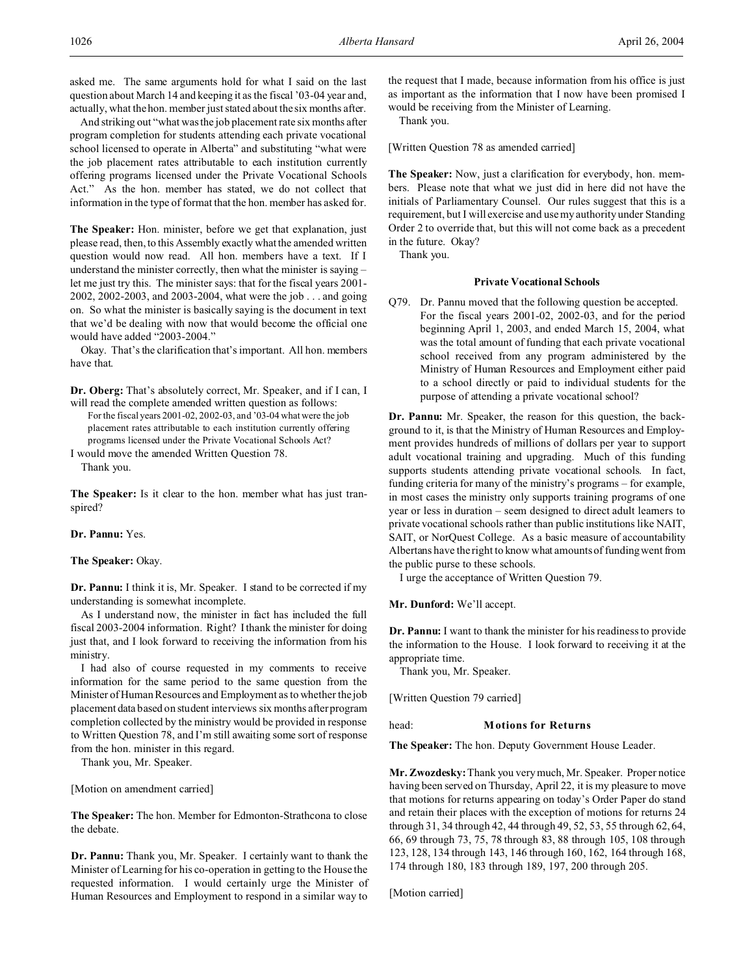asked me. The same arguments hold for what I said on the last question about March 14 and keeping it as the fiscal '03-04 year and, actually, what the hon. member just stated about the six months after.

And striking out "what was the job placement rate six months after program completion for students attending each private vocational school licensed to operate in Alberta" and substituting "what were the job placement rates attributable to each institution currently offering programs licensed under the Private Vocational Schools Act." As the hon. member has stated, we do not collect that information in the type of format that the hon. member has asked for.

**The Speaker:** Hon. minister, before we get that explanation, just please read, then, to this Assembly exactly what the amended written question would now read. All hon. members have a text. If I understand the minister correctly, then what the minister is saying – let me just try this. The minister says: that for the fiscal years 2001- 2002, 2002-2003, and 2003-2004, what were the job . . . and going on. So what the minister is basically saying is the document in text that we'd be dealing with now that would become the official one would have added "2003-2004."

Okay. That's the clarification that's important. All hon. members have that.

**Dr. Oberg:** That's absolutely correct, Mr. Speaker, and if I can, I will read the complete amended written question as follows: For the fiscal years 2001-02, 2002-03, and '03-04 what were the job

placement rates attributable to each institution currently offering programs licensed under the Private Vocational Schools Act?

I would move the amended Written Question 78. Thank you.

**The Speaker:** Is it clear to the hon. member what has just transpired?

**Dr. Pannu:** Yes.

**The Speaker:** Okay.

**Dr. Pannu:** I think it is, Mr. Speaker. I stand to be corrected if my understanding is somewhat incomplete.

As I understand now, the minister in fact has included the full fiscal 2003-2004 information. Right? I thank the minister for doing just that, and I look forward to receiving the information from his ministry.

I had also of course requested in my comments to receive information for the same period to the same question from the Minister of Human Resources and Employment as to whether the job placement data based on student interviews six months after program completion collected by the ministry would be provided in response to Written Question 78, and I'm still awaiting some sort of response from the hon. minister in this regard.

Thank you, Mr. Speaker.

[Motion on amendment carried]

**The Speaker:** The hon. Member for Edmonton-Strathcona to close the debate.

**Dr. Pannu:** Thank you, Mr. Speaker. I certainly want to thank the Minister of Learning for his co-operation in getting to the House the requested information. I would certainly urge the Minister of Human Resources and Employment to respond in a similar way to

the request that I made, because information from his office is just as important as the information that I now have been promised I would be receiving from the Minister of Learning.

Thank you.

[Written Question 78 as amended carried]

**The Speaker:** Now, just a clarification for everybody, hon. members. Please note that what we just did in here did not have the initials of Parliamentary Counsel. Our rules suggest that this is a requirement, but I will exercise and use my authority under Standing Order 2 to override that, but this will not come back as a precedent in the future. Okay?

Thank you.

## **Private Vocational Schools**

Q79. Dr. Pannu moved that the following question be accepted. For the fiscal years 2001-02, 2002-03, and for the period beginning April 1, 2003, and ended March 15, 2004, what was the total amount of funding that each private vocational school received from any program administered by the Ministry of Human Resources and Employment either paid to a school directly or paid to individual students for the purpose of attending a private vocational school?

**Dr. Pannu:** Mr. Speaker, the reason for this question, the background to it, is that the Ministry of Human Resources and Employment provides hundreds of millions of dollars per year to support adult vocational training and upgrading. Much of this funding supports students attending private vocational schools. In fact, funding criteria for many of the ministry's programs – for example, in most cases the ministry only supports training programs of one year or less in duration – seem designed to direct adult learners to private vocational schools rather than public institutions like NAIT, SAIT, or NorQuest College. As a basic measure of accountability Albertans have the right to know what amounts of funding went from the public purse to these schools.

I urge the acceptance of Written Question 79.

**Mr. Dunford:** We'll accept.

**Dr. Pannu:** I want to thank the minister for his readiness to provide the information to the House. I look forward to receiving it at the appropriate time.

Thank you, Mr. Speaker.

[Written Question 79 carried]

# head: **Motions for Returns**

**The Speaker:** The hon. Deputy Government House Leader.

**Mr. Zwozdesky:** Thank you very much, Mr. Speaker. Proper notice having been served on Thursday, April 22, it is my pleasure to move that motions for returns appearing on today's Order Paper do stand and retain their places with the exception of motions for returns 24 through 31, 34 through 42, 44 through 49, 52, 53, 55 through 62, 64, 66, 69 through 73, 75, 78 through 83, 88 through 105, 108 through 123, 128, 134 through 143, 146 through 160, 162, 164 through 168, 174 through 180, 183 through 189, 197, 200 through 205.

[Motion carried]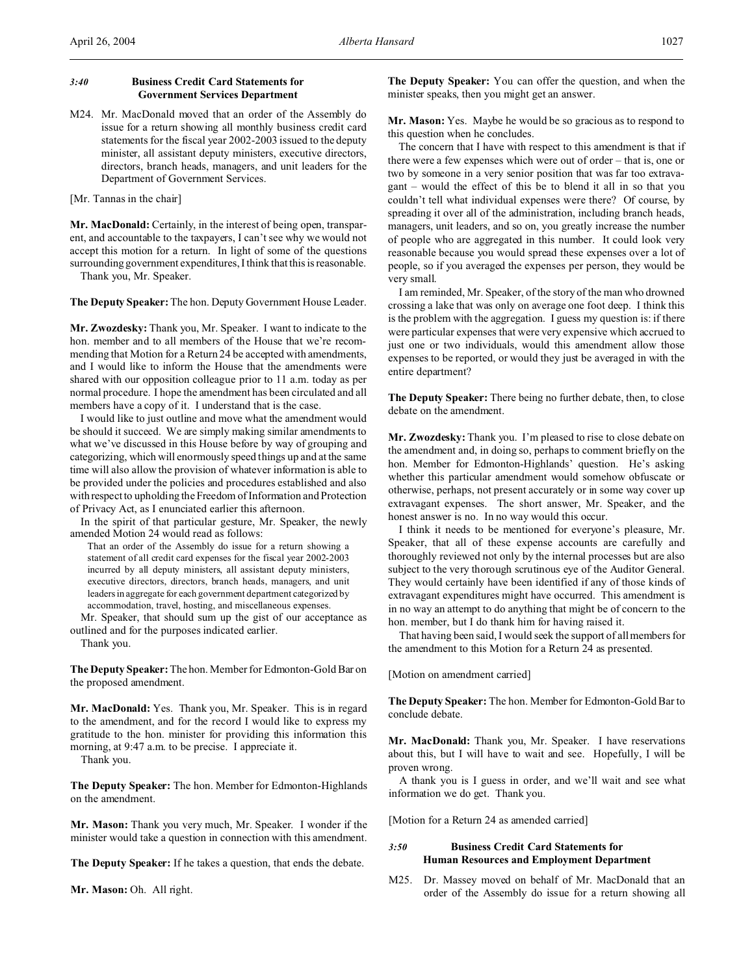M24. Mr. MacDonald moved that an order of the Assembly do issue for a return showing all monthly business credit card statements for the fiscal year 2002-2003 issued to the deputy minister, all assistant deputy ministers, executive directors, directors, branch heads, managers, and unit leaders for the Department of Government Services.

[Mr. Tannas in the chair]

**Mr. MacDonald:** Certainly, in the interest of being open, transparent, and accountable to the taxpayers, I can't see why we would not accept this motion for a return. In light of some of the questions surrounding government expenditures, I think that this is reasonable.

Thank you, Mr. Speaker.

**The Deputy Speaker:** The hon. Deputy Government House Leader.

**Mr. Zwozdesky:** Thank you, Mr. Speaker. I want to indicate to the hon. member and to all members of the House that we're recommending that Motion for a Return 24 be accepted with amendments, and I would like to inform the House that the amendments were shared with our opposition colleague prior to 11 a.m. today as per normal procedure. I hope the amendment has been circulated and all members have a copy of it. I understand that is the case.

I would like to just outline and move what the amendment would be should it succeed. We are simply making similar amendments to what we've discussed in this House before by way of grouping and categorizing, which will enormously speed things up and at the same time will also allow the provision of whatever information is able to be provided under the policies and procedures established and also with respect to upholding the Freedom of Information and Protection of Privacy Act, as I enunciated earlier this afternoon.

In the spirit of that particular gesture, Mr. Speaker, the newly amended Motion 24 would read as follows:

That an order of the Assembly do issue for a return showing a statement of all credit card expenses for the fiscal year 2002-2003 incurred by all deputy ministers, all assistant deputy ministers, executive directors, directors, branch heads, managers, and unit leaders in aggregate for each government department categorized by accommodation, travel, hosting, and miscellaneous expenses.

Mr. Speaker, that should sum up the gist of our acceptance as outlined and for the purposes indicated earlier.

Thank you.

**The Deputy Speaker:**The hon. Member for Edmonton-Gold Bar on the proposed amendment.

**Mr. MacDonald:** Yes. Thank you, Mr. Speaker. This is in regard to the amendment, and for the record I would like to express my gratitude to the hon. minister for providing this information this morning, at 9:47 a.m. to be precise. I appreciate it.

Thank you.

**The Deputy Speaker:** The hon. Member for Edmonton-Highlands on the amendment.

**Mr. Mason:** Thank you very much, Mr. Speaker. I wonder if the minister would take a question in connection with this amendment.

**The Deputy Speaker:** If he takes a question, that ends the debate.

**Mr. Mason:** Oh. All right.

**The Deputy Speaker:** You can offer the question, and when the minister speaks, then you might get an answer.

**Mr. Mason:** Yes. Maybe he would be so gracious as to respond to this question when he concludes.

The concern that I have with respect to this amendment is that if there were a few expenses which were out of order – that is, one or two by someone in a very senior position that was far too extravagant – would the effect of this be to blend it all in so that you couldn't tell what individual expenses were there? Of course, by spreading it over all of the administration, including branch heads, managers, unit leaders, and so on, you greatly increase the number of people who are aggregated in this number. It could look very reasonable because you would spread these expenses over a lot of people, so if you averaged the expenses per person, they would be very small.

I am reminded, Mr. Speaker, of the story of the man who drowned crossing a lake that was only on average one foot deep. I think this is the problem with the aggregation. I guess my question is: if there were particular expenses that were very expensive which accrued to just one or two individuals, would this amendment allow those expenses to be reported, or would they just be averaged in with the entire department?

**The Deputy Speaker:** There being no further debate, then, to close debate on the amendment.

**Mr. Zwozdesky:** Thank you. I'm pleased to rise to close debate on the amendment and, in doing so, perhaps to comment briefly on the hon. Member for Edmonton-Highlands' question. He's asking whether this particular amendment would somehow obfuscate or otherwise, perhaps, not present accurately or in some way cover up extravagant expenses. The short answer, Mr. Speaker, and the honest answer is no. In no way would this occur.

I think it needs to be mentioned for everyone's pleasure, Mr. Speaker, that all of these expense accounts are carefully and thoroughly reviewed not only by the internal processes but are also subject to the very thorough scrutinous eye of the Auditor General. They would certainly have been identified if any of those kinds of extravagant expenditures might have occurred. This amendment is in no way an attempt to do anything that might be of concern to the hon. member, but I do thank him for having raised it.

That having been said, I would seek the support of all members for the amendment to this Motion for a Return 24 as presented.

[Motion on amendment carried]

**The Deputy Speaker:** The hon. Member for Edmonton-Gold Bar to conclude debate.

**Mr. MacDonald:** Thank you, Mr. Speaker. I have reservations about this, but I will have to wait and see. Hopefully, I will be proven wrong.

A thank you is I guess in order, and we'll wait and see what information we do get. Thank you.

[Motion for a Return 24 as amended carried]

# *3:50* **Business Credit Card Statements for Human Resources and Employment Department**

M25. Dr. Massey moved on behalf of Mr. MacDonald that an order of the Assembly do issue for a return showing all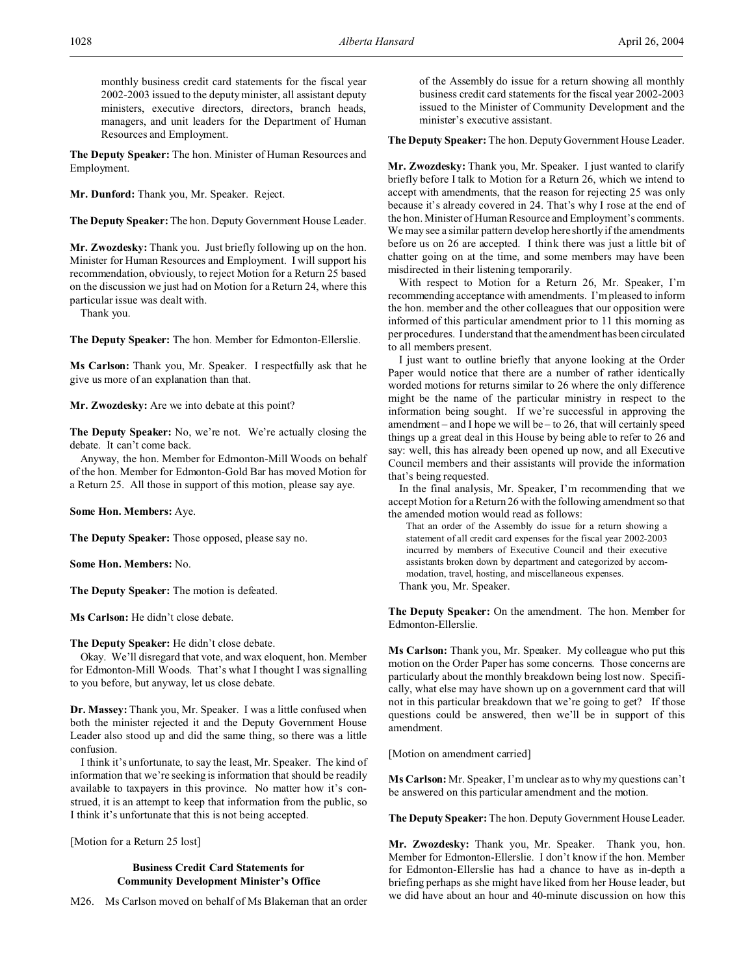monthly business credit card statements for the fiscal year 2002-2003 issued to the deputy minister, all assistant deputy ministers, executive directors, directors, branch heads, managers, and unit leaders for the Department of Human Resources and Employment.

**The Deputy Speaker:** The hon. Minister of Human Resources and Employment.

**Mr. Dunford:** Thank you, Mr. Speaker. Reject.

**The Deputy Speaker:** The hon. Deputy Government House Leader.

**Mr. Zwozdesky:** Thank you. Just briefly following up on the hon. Minister for Human Resources and Employment. I will support his recommendation, obviously, to reject Motion for a Return 25 based on the discussion we just had on Motion for a Return 24, where this particular issue was dealt with.

Thank you.

**The Deputy Speaker:** The hon. Member for Edmonton-Ellerslie.

**Ms Carlson:** Thank you, Mr. Speaker. I respectfully ask that he give us more of an explanation than that.

**Mr. Zwozdesky:** Are we into debate at this point?

**The Deputy Speaker:** No, we're not. We're actually closing the debate. It can't come back.

Anyway, the hon. Member for Edmonton-Mill Woods on behalf of the hon. Member for Edmonton-Gold Bar has moved Motion for a Return 25. All those in support of this motion, please say aye.

**Some Hon. Members:** Aye.

**The Deputy Speaker:** Those opposed, please say no.

**Some Hon. Members:** No.

**The Deputy Speaker:** The motion is defeated.

**Ms Carlson:** He didn't close debate.

**The Deputy Speaker:** He didn't close debate.

Okay. We'll disregard that vote, and wax eloquent, hon. Member for Edmonton-Mill Woods. That's what I thought I was signalling to you before, but anyway, let us close debate.

**Dr. Massey:** Thank you, Mr. Speaker. I was a little confused when both the minister rejected it and the Deputy Government House Leader also stood up and did the same thing, so there was a little confusion.

I think it's unfortunate, to say the least, Mr. Speaker. The kind of information that we're seeking is information that should be readily available to taxpayers in this province. No matter how it's construed, it is an attempt to keep that information from the public, so I think it's unfortunate that this is not being accepted.

[Motion for a Return 25 lost]

# **Business Credit Card Statements for Community Development Minister's Office**

M26. Ms Carlson moved on behalf of Ms Blakeman that an order

of the Assembly do issue for a return showing all monthly business credit card statements for the fiscal year 2002-2003 issued to the Minister of Community Development and the minister's executive assistant.

**The Deputy Speaker:** The hon. Deputy Government House Leader.

**Mr. Zwozdesky:** Thank you, Mr. Speaker. I just wanted to clarify briefly before I talk to Motion for a Return 26, which we intend to accept with amendments, that the reason for rejecting 25 was only because it's already covered in 24. That's why I rose at the end of the hon. Minister of Human Resource and Employment's comments. We may see a similar pattern develop here shortly if the amendments before us on 26 are accepted. I think there was just a little bit of chatter going on at the time, and some members may have been misdirected in their listening temporarily.

With respect to Motion for a Return 26, Mr. Speaker, I'm recommending acceptance with amendments. I'm pleased to inform the hon. member and the other colleagues that our opposition were informed of this particular amendment prior to 11 this morning as per procedures. I understand that the amendment has been circulated to all members present.

I just want to outline briefly that anyone looking at the Order Paper would notice that there are a number of rather identically worded motions for returns similar to 26 where the only difference might be the name of the particular ministry in respect to the information being sought. If we're successful in approving the amendment – and I hope we will be – to 26, that will certainly speed things up a great deal in this House by being able to refer to 26 and say: well, this has already been opened up now, and all Executive Council members and their assistants will provide the information that's being requested.

In the final analysis, Mr. Speaker, I'm recommending that we accept Motion for a Return 26 with the following amendment so that the amended motion would read as follows:

That an order of the Assembly do issue for a return showing a statement of all credit card expenses for the fiscal year 2002-2003 incurred by members of Executive Council and their executive assistants broken down by department and categorized by accommodation, travel, hosting, and miscellaneous expenses. Thank you, Mr. Speaker.

**The Deputy Speaker:** On the amendment. The hon. Member for Edmonton-Ellerslie.

**Ms Carlson:** Thank you, Mr. Speaker. My colleague who put this motion on the Order Paper has some concerns. Those concerns are particularly about the monthly breakdown being lost now. Specifically, what else may have shown up on a government card that will not in this particular breakdown that we're going to get? If those questions could be answered, then we'll be in support of this amendment.

[Motion on amendment carried]

**Ms Carlson:** Mr. Speaker, I'm unclear as to why my questions can't be answered on this particular amendment and the motion.

**The Deputy Speaker:** The hon. Deputy Government House Leader.

**Mr. Zwozdesky:** Thank you, Mr. Speaker. Thank you, hon. Member for Edmonton-Ellerslie. I don't know if the hon. Member for Edmonton-Ellerslie has had a chance to have as in-depth a briefing perhaps as she might have liked from her House leader, but we did have about an hour and 40-minute discussion on how this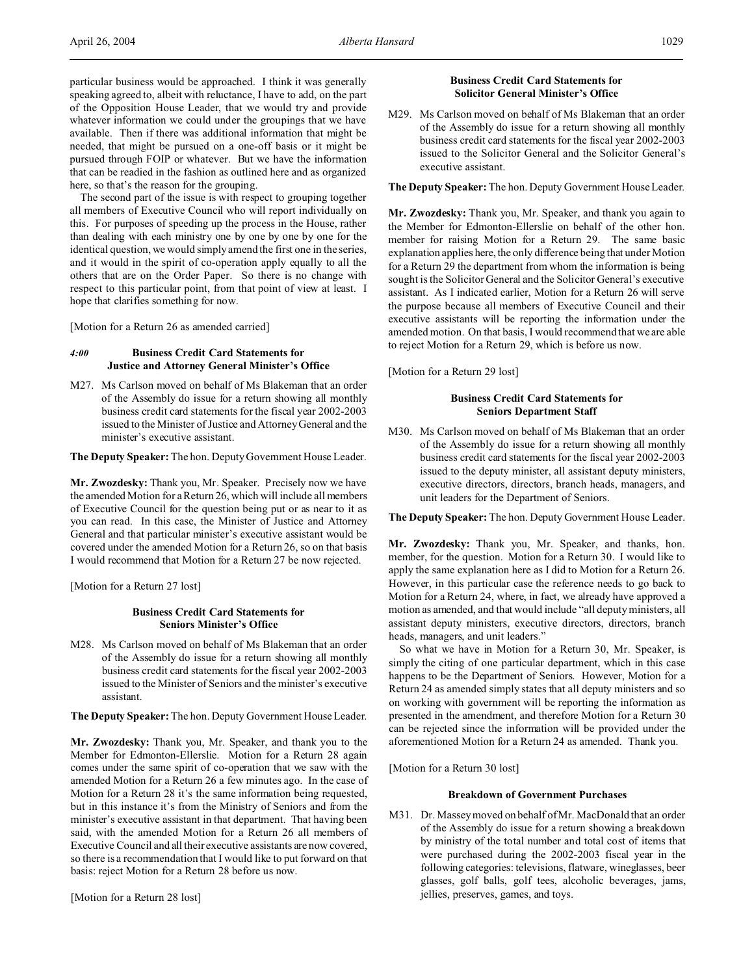particular business would be approached. I think it was generally speaking agreed to, albeit with reluctance, I have to add, on the part of the Opposition House Leader, that we would try and provide whatever information we could under the groupings that we have available. Then if there was additional information that might be needed, that might be pursued on a one-off basis or it might be pursued through FOIP or whatever. But we have the information that can be readied in the fashion as outlined here and as organized here, so that's the reason for the grouping.

The second part of the issue is with respect to grouping together all members of Executive Council who will report individually on this. For purposes of speeding up the process in the House, rather than dealing with each ministry one by one by one by one for the identical question, we would simply amend the first one in the series, and it would in the spirit of co-operation apply equally to all the others that are on the Order Paper. So there is no change with respect to this particular point, from that point of view at least. I hope that clarifies something for now.

[Motion for a Return 26 as amended carried]

# *4:00* **Business Credit Card Statements for Justice and Attorney General Minister's Office**

M27. Ms Carlson moved on behalf of Ms Blakeman that an order of the Assembly do issue for a return showing all monthly business credit card statements for the fiscal year 2002-2003 issued to the Minister of Justice and Attorney General and the minister's executive assistant.

**The Deputy Speaker:** The hon. Deputy Government House Leader.

**Mr. Zwozdesky:** Thank you, Mr. Speaker. Precisely now we have the amended Motion for a Return 26, which will include all members of Executive Council for the question being put or as near to it as you can read. In this case, the Minister of Justice and Attorney General and that particular minister's executive assistant would be covered under the amended Motion for a Return 26, so on that basis I would recommend that Motion for a Return 27 be now rejected.

[Motion for a Return 27 lost]

# **Business Credit Card Statements for Seniors Minister's Office**

M28. Ms Carlson moved on behalf of Ms Blakeman that an order of the Assembly do issue for a return showing all monthly business credit card statements for the fiscal year 2002-2003 issued to the Minister of Seniors and the minister's executive assistant.

**The Deputy Speaker:** The hon. Deputy Government House Leader.

**Mr. Zwozdesky:** Thank you, Mr. Speaker, and thank you to the Member for Edmonton-Ellerslie. Motion for a Return 28 again comes under the same spirit of co-operation that we saw with the amended Motion for a Return 26 a few minutes ago. In the case of Motion for a Return 28 it's the same information being requested, but in this instance it's from the Ministry of Seniors and from the minister's executive assistant in that department. That having been said, with the amended Motion for a Return 26 all members of Executive Council and all their executive assistants are now covered, so there is a recommendation that I would like to put forward on that basis: reject Motion for a Return 28 before us now.

# **Business Credit Card Statements for Solicitor General Minister's Office**

M29. Ms Carlson moved on behalf of Ms Blakeman that an order of the Assembly do issue for a return showing all monthly business credit card statements for the fiscal year 2002-2003 issued to the Solicitor General and the Solicitor General's executive assistant.

**The Deputy Speaker:** The hon. Deputy Government House Leader.

**Mr. Zwozdesky:** Thank you, Mr. Speaker, and thank you again to the Member for Edmonton-Ellerslie on behalf of the other hon. member for raising Motion for a Return 29. The same basic explanation applies here, the only difference being that under Motion for a Return 29 the department from whom the information is being sought is the Solicitor General and the Solicitor General's executive assistant. As I indicated earlier, Motion for a Return 26 will serve the purpose because all members of Executive Council and their executive assistants will be reporting the information under the amended motion. On that basis, I would recommend that we are able to reject Motion for a Return 29, which is before us now.

[Motion for a Return 29 lost]

# **Business Credit Card Statements for Seniors Department Staff**

M30. Ms Carlson moved on behalf of Ms Blakeman that an order of the Assembly do issue for a return showing all monthly business credit card statements for the fiscal year 2002-2003 issued to the deputy minister, all assistant deputy ministers, executive directors, directors, branch heads, managers, and unit leaders for the Department of Seniors.

**The Deputy Speaker:** The hon. Deputy Government House Leader.

**Mr. Zwozdesky:** Thank you, Mr. Speaker, and thanks, hon. member, for the question. Motion for a Return 30. I would like to apply the same explanation here as I did to Motion for a Return 26. However, in this particular case the reference needs to go back to Motion for a Return 24, where, in fact, we already have approved a motion as amended, and that would include "all deputy ministers, all assistant deputy ministers, executive directors, directors, branch heads, managers, and unit leaders."

So what we have in Motion for a Return 30, Mr. Speaker, is simply the citing of one particular department, which in this case happens to be the Department of Seniors. However, Motion for a Return 24 as amended simply states that all deputy ministers and so on working with government will be reporting the information as presented in the amendment, and therefore Motion for a Return 30 can be rejected since the information will be provided under the aforementioned Motion for a Return 24 as amended. Thank you.

[Motion for a Return 30 lost]

### **Breakdown of Government Purchases**

M31. Dr. Massey moved on behalf of Mr. MacDonald that an order of the Assembly do issue for a return showing a breakdown by ministry of the total number and total cost of items that were purchased during the 2002-2003 fiscal year in the following categories: televisions, flatware, wineglasses, beer glasses, golf balls, golf tees, alcoholic beverages, jams, jellies, preserves, games, and toys.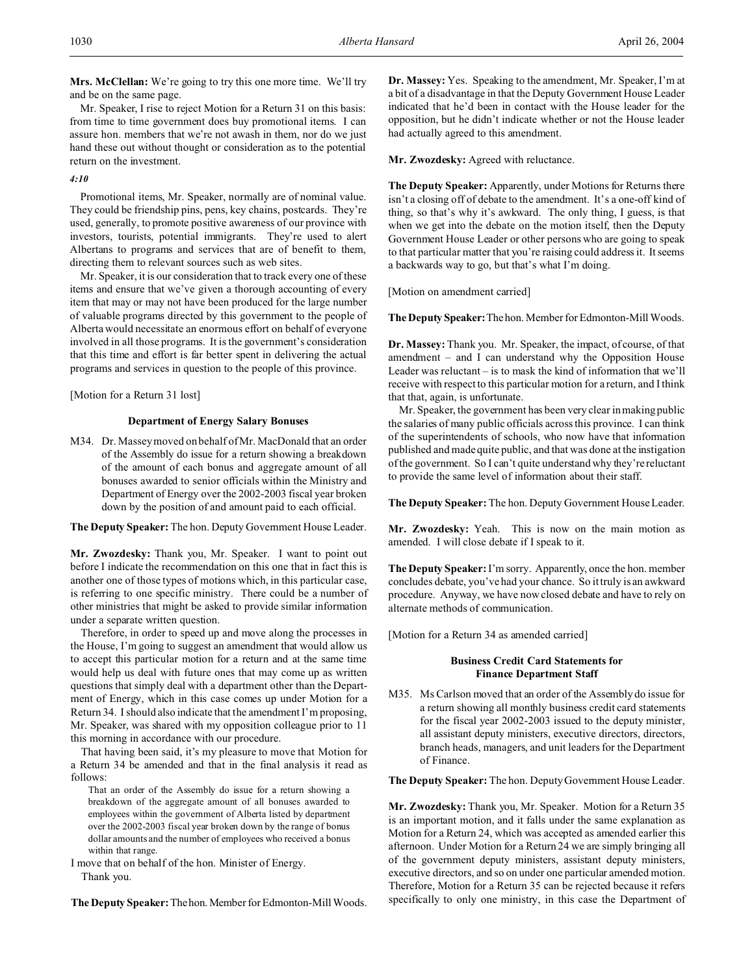**Mrs. McClellan:** We're going to try this one more time. We'll try and be on the same page.

Mr. Speaker, I rise to reject Motion for a Return 31 on this basis: from time to time government does buy promotional items. I can assure hon. members that we're not awash in them, nor do we just hand these out without thought or consideration as to the potential return on the investment.

# *4:10*

Promotional items, Mr. Speaker, normally are of nominal value. They could be friendship pins, pens, key chains, postcards. They're used, generally, to promote positive awareness of our province with investors, tourists, potential immigrants. They're used to alert Albertans to programs and services that are of benefit to them, directing them to relevant sources such as web sites.

Mr. Speaker, it is our consideration that to track every one of these items and ensure that we've given a thorough accounting of every item that may or may not have been produced for the large number of valuable programs directed by this government to the people of Alberta would necessitate an enormous effort on behalf of everyone involved in all those programs. It is the government's consideration that this time and effort is far better spent in delivering the actual programs and services in question to the people of this province.

[Motion for a Return 31 lost]

#### **Department of Energy Salary Bonuses**

M34. Dr. Massey moved on behalf of Mr. MacDonald that an order of the Assembly do issue for a return showing a breakdown of the amount of each bonus and aggregate amount of all bonuses awarded to senior officials within the Ministry and Department of Energy over the 2002-2003 fiscal year broken down by the position of and amount paid to each official.

**The Deputy Speaker:** The hon. Deputy Government House Leader.

**Mr. Zwozdesky:** Thank you, Mr. Speaker. I want to point out before I indicate the recommendation on this one that in fact this is another one of those types of motions which, in this particular case, is referring to one specific ministry. There could be a number of other ministries that might be asked to provide similar information under a separate written question.

Therefore, in order to speed up and move along the processes in the House, I'm going to suggest an amendment that would allow us to accept this particular motion for a return and at the same time would help us deal with future ones that may come up as written questions that simply deal with a department other than the Department of Energy, which in this case comes up under Motion for a Return 34. I should also indicate that the amendment I'm proposing, Mr. Speaker, was shared with my opposition colleague prior to 11 this morning in accordance with our procedure.

That having been said, it's my pleasure to move that Motion for a Return 34 be amended and that in the final analysis it read as follows:

That an order of the Assembly do issue for a return showing a breakdown of the aggregate amount of all bonuses awarded to employees within the government of Alberta listed by department over the 2002-2003 fiscal year broken down by the range of bonus dollar amounts and the number of employees who received a bonus within that range.

I move that on behalf of the hon. Minister of Energy. Thank you.

The Deputy Speaker: The hon. Member for Edmonton-Mill Woods.

**Dr. Massey:** Yes. Speaking to the amendment, Mr. Speaker, I'm at a bit of a disadvantage in that the Deputy Government House Leader indicated that he'd been in contact with the House leader for the opposition, but he didn't indicate whether or not the House leader had actually agreed to this amendment.

**Mr. Zwozdesky:** Agreed with reluctance.

**The Deputy Speaker:** Apparently, under Motions for Returns there isn't a closing off of debate to the amendment. It's a one-off kind of thing, so that's why it's awkward. The only thing, I guess, is that when we get into the debate on the motion itself, then the Deputy Government House Leader or other persons who are going to speak to that particular matter that you're raising could address it. It seems a backwards way to go, but that's what I'm doing.

[Motion on amendment carried]

**The Deputy Speaker:**The hon. Member for Edmonton-Mill Woods.

**Dr. Massey:** Thank you. Mr. Speaker, the impact, of course, of that amendment – and I can understand why the Opposition House Leader was reluctant – is to mask the kind of information that we'll receive with respect to this particular motion for a return, and I think that that, again, is unfortunate.

Mr. Speaker, the government has been very clear in making public the salaries of many public officials across this province. I can think of the superintendents of schools, who now have that information published and made quite public, and that was done at the instigation of the government. So I can't quite understand why they're reluctant to provide the same level of information about their staff.

**The Deputy Speaker:** The hon. Deputy Government House Leader.

**Mr. Zwozdesky:** Yeah. This is now on the main motion as amended. I will close debate if I speak to it.

**The Deputy Speaker:** I'm sorry. Apparently, once the hon. member concludes debate, you've had your chance. So it truly is an awkward procedure. Anyway, we have now closed debate and have to rely on alternate methods of communication.

[Motion for a Return 34 as amended carried]

# **Business Credit Card Statements for Finance Department Staff**

M35. Ms Carlson moved that an order of the Assembly do issue for a return showing all monthly business credit card statements for the fiscal year 2002-2003 issued to the deputy minister, all assistant deputy ministers, executive directors, directors, branch heads, managers, and unit leaders for the Department of Finance.

**The Deputy Speaker:** The hon. Deputy Government House Leader.

**Mr. Zwozdesky:** Thank you, Mr. Speaker. Motion for a Return 35 is an important motion, and it falls under the same explanation as Motion for a Return 24, which was accepted as amended earlier this afternoon. Under Motion for a Return 24 we are simply bringing all of the government deputy ministers, assistant deputy ministers, executive directors, and so on under one particular amended motion. Therefore, Motion for a Return 35 can be rejected because it refers specifically to only one ministry, in this case the Department of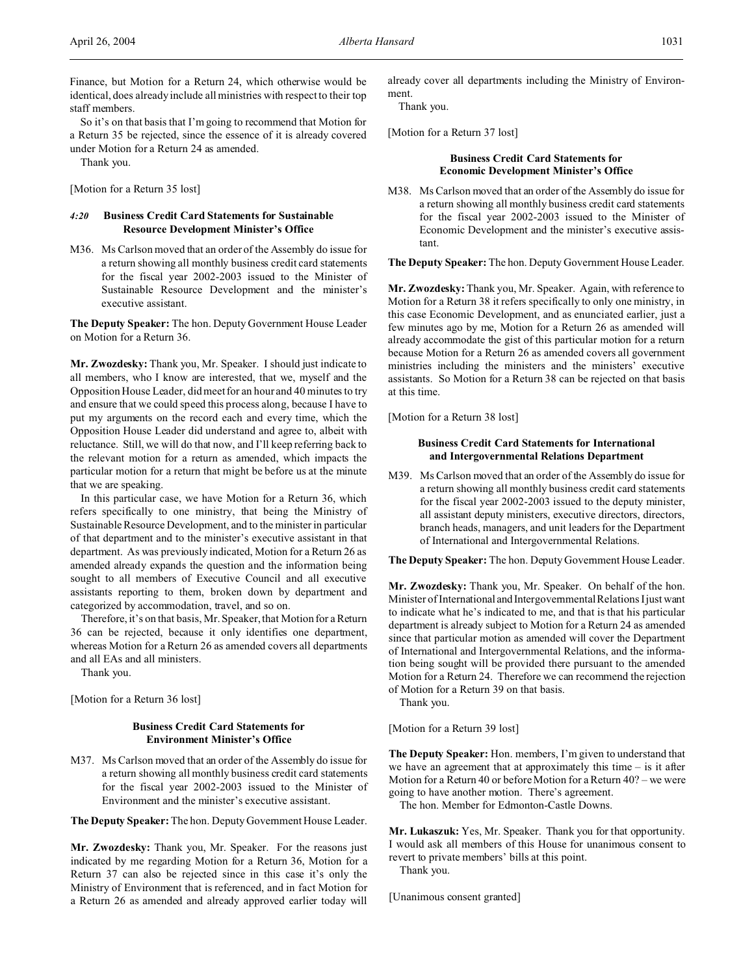Finance, but Motion for a Return 24, which otherwise would be identical, does already include all ministries with respect to their top staff members.

So it's on that basis that I'm going to recommend that Motion for a Return 35 be rejected, since the essence of it is already covered under Motion for a Return 24 as amended.

Thank you.

[Motion for a Return 35 lost]

# *4:20* **Business Credit Card Statements for Sustainable Resource Development Minister's Office**

M36. Ms Carlson moved that an order of the Assembly do issue for a return showing all monthly business credit card statements for the fiscal year 2002-2003 issued to the Minister of Sustainable Resource Development and the minister's executive assistant.

**The Deputy Speaker:** The hon. Deputy Government House Leader on Motion for a Return 36.

**Mr. Zwozdesky:** Thank you, Mr. Speaker. I should just indicate to all members, who I know are interested, that we, myself and the Opposition House Leader, did meet for an hour and 40 minutes to try and ensure that we could speed this process along, because I have to put my arguments on the record each and every time, which the Opposition House Leader did understand and agree to, albeit with reluctance. Still, we will do that now, and I'll keep referring back to the relevant motion for a return as amended, which impacts the particular motion for a return that might be before us at the minute that we are speaking.

In this particular case, we have Motion for a Return 36, which refers specifically to one ministry, that being the Ministry of Sustainable Resource Development, and to the minister in particular of that department and to the minister's executive assistant in that department. As was previously indicated, Motion for a Return 26 as amended already expands the question and the information being sought to all members of Executive Council and all executive assistants reporting to them, broken down by department and categorized by accommodation, travel, and so on.

Therefore, it's on that basis, Mr. Speaker, that Motion for a Return 36 can be rejected, because it only identifies one department, whereas Motion for a Return 26 as amended covers all departments and all EAs and all ministers.

Thank you.

[Motion for a Return 36 lost]

### **Business Credit Card Statements for Environment Minister's Office**

M37. Ms Carlson moved that an order of the Assembly do issue for a return showing all monthly business credit card statements for the fiscal year 2002-2003 issued to the Minister of Environment and the minister's executive assistant.

**The Deputy Speaker:** The hon. Deputy Government House Leader.

**Mr. Zwozdesky:** Thank you, Mr. Speaker. For the reasons just indicated by me regarding Motion for a Return 36, Motion for a Return 37 can also be rejected since in this case it's only the Ministry of Environment that is referenced, and in fact Motion for a Return 26 as amended and already approved earlier today will already cover all departments including the Ministry of Environment.

Thank you.

[Motion for a Return 37 lost]

## **Business Credit Card Statements for Economic Development Minister's Office**

M38. Ms Carlson moved that an order of the Assembly do issue for a return showing all monthly business credit card statements for the fiscal year 2002-2003 issued to the Minister of Economic Development and the minister's executive assistant.

**The Deputy Speaker:** The hon. Deputy Government House Leader.

**Mr. Zwozdesky:** Thank you, Mr. Speaker. Again, with reference to Motion for a Return 38 it refers specifically to only one ministry, in this case Economic Development, and as enunciated earlier, just a few minutes ago by me, Motion for a Return 26 as amended will already accommodate the gist of this particular motion for a return because Motion for a Return 26 as amended covers all government ministries including the ministers and the ministers' executive assistants. So Motion for a Return 38 can be rejected on that basis at this time.

[Motion for a Return 38 lost]

## **Business Credit Card Statements for International and Intergovernmental Relations Department**

M39. Ms Carlson moved that an order of the Assembly do issue for a return showing all monthly business credit card statements for the fiscal year 2002-2003 issued to the deputy minister, all assistant deputy ministers, executive directors, directors, branch heads, managers, and unit leaders for the Department of International and Intergovernmental Relations.

**The Deputy Speaker:** The hon. Deputy Government House Leader.

**Mr. Zwozdesky:** Thank you, Mr. Speaker. On behalf of the hon. Minister of International and Intergovernmental Relations I just want to indicate what he's indicated to me, and that is that his particular department is already subject to Motion for a Return 24 as amended since that particular motion as amended will cover the Department of International and Intergovernmental Relations, and the information being sought will be provided there pursuant to the amended Motion for a Return 24. Therefore we can recommend the rejection of Motion for a Return 39 on that basis.

Thank you.

[Motion for a Return 39 lost]

**The Deputy Speaker:** Hon. members, I'm given to understand that we have an agreement that at approximately this time – is it after Motion for a Return 40 or before Motion for a Return 40? – we were going to have another motion. There's agreement.

The hon. Member for Edmonton-Castle Downs.

**Mr. Lukaszuk:** Yes, Mr. Speaker. Thank you for that opportunity. I would ask all members of this House for unanimous consent to revert to private members' bills at this point.

Thank you.

[Unanimous consent granted]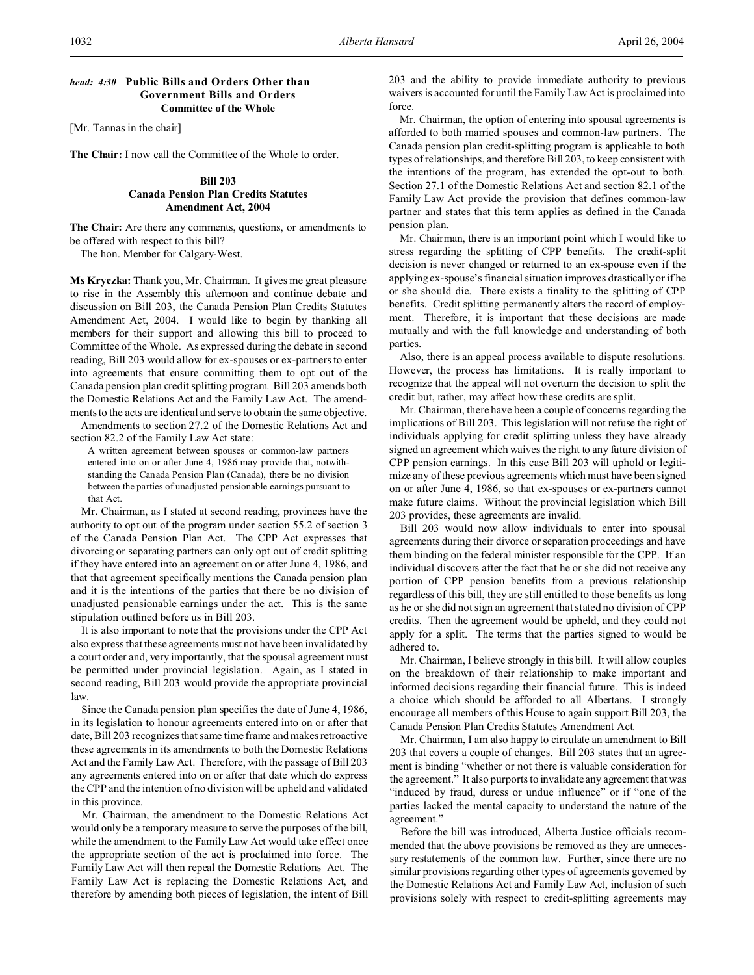# *head: 4:30* **Public Bills and Orders Other than Government Bills and Orders Committee of the Whole**

[Mr. Tannas in the chair]

**The Chair:** I now call the Committee of the Whole to order.

# **Bill 203 Canada Pension Plan Credits Statutes Amendment Act, 2004**

**The Chair:** Are there any comments, questions, or amendments to be offered with respect to this bill?

The hon. Member for Calgary-West.

**Ms Kryczka:** Thank you, Mr. Chairman. It gives me great pleasure to rise in the Assembly this afternoon and continue debate and discussion on Bill 203, the Canada Pension Plan Credits Statutes Amendment Act, 2004. I would like to begin by thanking all members for their support and allowing this bill to proceed to Committee of the Whole. As expressed during the debate in second reading, Bill 203 would allow for ex-spouses or ex-partners to enter into agreements that ensure committing them to opt out of the Canada pension plan credit splitting program. Bill 203 amends both the Domestic Relations Act and the Family Law Act. The amendments to the acts are identical and serve to obtain the same objective.

Amendments to section 27.2 of the Domestic Relations Act and section 82.2 of the Family Law Act state:

A written agreement between spouses or common-law partners entered into on or after June 4, 1986 may provide that, notwithstanding the Canada Pension Plan (Canada), there be no division between the parties of unadjusted pensionable earnings pursuant to that Act.

Mr. Chairman, as I stated at second reading, provinces have the authority to opt out of the program under section 55.2 of section 3 of the Canada Pension Plan Act. The CPP Act expresses that divorcing or separating partners can only opt out of credit splitting if they have entered into an agreement on or after June 4, 1986, and that that agreement specifically mentions the Canada pension plan and it is the intentions of the parties that there be no division of unadjusted pensionable earnings under the act. This is the same stipulation outlined before us in Bill 203.

It is also important to note that the provisions under the CPP Act also express that these agreements must not have been invalidated by a court order and, very importantly, that the spousal agreement must be permitted under provincial legislation. Again, as I stated in second reading, Bill 203 would provide the appropriate provincial law.

Since the Canada pension plan specifies the date of June 4, 1986, in its legislation to honour agreements entered into on or after that date, Bill 203 recognizes that same time frame and makes retroactive these agreements in its amendments to both the Domestic Relations Act and the Family Law Act. Therefore, with the passage of Bill 203 any agreements entered into on or after that date which do express the CPP and the intention of no division will be upheld and validated in this province.

Mr. Chairman, the amendment to the Domestic Relations Act would only be a temporary measure to serve the purposes of the bill, while the amendment to the Family Law Act would take effect once the appropriate section of the act is proclaimed into force. The Family Law Act will then repeal the Domestic Relations Act. The Family Law Act is replacing the Domestic Relations Act, and therefore by amending both pieces of legislation, the intent of Bill 203 and the ability to provide immediate authority to previous waivers is accounted for until the Family Law Act is proclaimed into force.

Mr. Chairman, the option of entering into spousal agreements is afforded to both married spouses and common-law partners. The Canada pension plan credit-splitting program is applicable to both types of relationships, and therefore Bill 203, to keep consistent with the intentions of the program, has extended the opt-out to both. Section 27.1 of the Domestic Relations Act and section 82.1 of the Family Law Act provide the provision that defines common-law partner and states that this term applies as defined in the Canada pension plan.

Mr. Chairman, there is an important point which I would like to stress regarding the splitting of CPP benefits. The credit-split decision is never changed or returned to an ex-spouse even if the applying ex-spouse's financial situation improves drastically or if he or she should die. There exists a finality to the splitting of CPP benefits. Credit splitting permanently alters the record of employment. Therefore, it is important that these decisions are made mutually and with the full knowledge and understanding of both parties.

Also, there is an appeal process available to dispute resolutions. However, the process has limitations. It is really important to recognize that the appeal will not overturn the decision to split the credit but, rather, may affect how these credits are split.

Mr. Chairman, there have been a couple of concerns regarding the implications of Bill 203. This legislation will not refuse the right of individuals applying for credit splitting unless they have already signed an agreement which waives the right to any future division of CPP pension earnings. In this case Bill 203 will uphold or legitimize any of these previous agreements which must have been signed on or after June 4, 1986, so that ex-spouses or ex-partners cannot make future claims. Without the provincial legislation which Bill 203 provides, these agreements are invalid.

Bill 203 would now allow individuals to enter into spousal agreements during their divorce or separation proceedings and have them binding on the federal minister responsible for the CPP. If an individual discovers after the fact that he or she did not receive any portion of CPP pension benefits from a previous relationship regardless of this bill, they are still entitled to those benefits as long as he or she did not sign an agreement that stated no division of CPP credits. Then the agreement would be upheld, and they could not apply for a split. The terms that the parties signed to would be adhered to.

Mr. Chairman, I believe strongly in this bill. It will allow couples on the breakdown of their relationship to make important and informed decisions regarding their financial future. This is indeed a choice which should be afforded to all Albertans. I strongly encourage all members of this House to again support Bill 203, the Canada Pension Plan Credits Statutes Amendment Act.

Mr. Chairman, I am also happy to circulate an amendment to Bill 203 that covers a couple of changes. Bill 203 states that an agreement is binding "whether or not there is valuable consideration for the agreement." It also purports to invalidate any agreement that was "induced by fraud, duress or undue influence" or if "one of the parties lacked the mental capacity to understand the nature of the agreement."

Before the bill was introduced, Alberta Justice officials recommended that the above provisions be removed as they are unnecessary restatements of the common law. Further, since there are no similar provisions regarding other types of agreements governed by the Domestic Relations Act and Family Law Act, inclusion of such provisions solely with respect to credit-splitting agreements may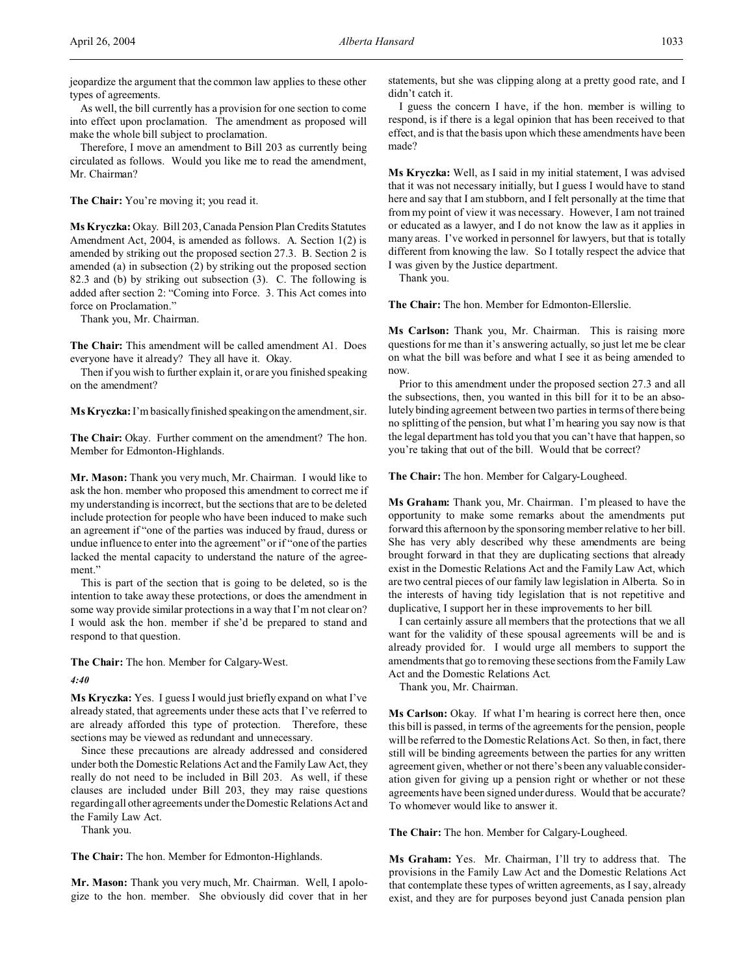jeopardize the argument that the common law applies to these other types of agreements.

As well, the bill currently has a provision for one section to come into effect upon proclamation. The amendment as proposed will make the whole bill subject to proclamation.

Therefore, I move an amendment to Bill 203 as currently being circulated as follows. Would you like me to read the amendment, Mr. Chairman?

**The Chair:** You're moving it; you read it.

**Ms Kryczka:** Okay. Bill 203, Canada Pension Plan Credits Statutes Amendment Act, 2004, is amended as follows. A. Section 1(2) is amended by striking out the proposed section 27.3. B. Section 2 is amended (a) in subsection (2) by striking out the proposed section 82.3 and (b) by striking out subsection (3). C. The following is added after section 2: "Coming into Force. 3. This Act comes into force on Proclamation."

Thank you, Mr. Chairman.

**The Chair:** This amendment will be called amendment A1. Does everyone have it already? They all have it. Okay.

Then if you wish to further explain it, or are you finished speaking on the amendment?

**Ms Kryczka:** I'm basically finished speaking on the amendment, sir.

**The Chair:** Okay. Further comment on the amendment? The hon. Member for Edmonton-Highlands.

**Mr. Mason:** Thank you very much, Mr. Chairman. I would like to ask the hon. member who proposed this amendment to correct me if my understanding is incorrect, but the sections that are to be deleted include protection for people who have been induced to make such an agreement if "one of the parties was induced by fraud, duress or undue influence to enter into the agreement" or if "one of the parties lacked the mental capacity to understand the nature of the agreement."

This is part of the section that is going to be deleted, so is the intention to take away these protections, or does the amendment in some way provide similar protections in a way that I'm not clear on? I would ask the hon. member if she'd be prepared to stand and respond to that question.

**The Chair:** The hon. Member for Calgary-West.

#### *4:40*

**Ms Kryczka:** Yes. I guess I would just briefly expand on what I've already stated, that agreements under these acts that I've referred to are already afforded this type of protection. Therefore, these sections may be viewed as redundant and unnecessary.

Since these precautions are already addressed and considered under both the Domestic Relations Act and the Family Law Act, they really do not need to be included in Bill 203. As well, if these clauses are included under Bill 203, they may raise questions regarding all other agreements under the Domestic Relations Act and the Family Law Act.

Thank you.

**The Chair:** The hon. Member for Edmonton-Highlands.

**Mr. Mason:** Thank you very much, Mr. Chairman. Well, I apologize to the hon. member. She obviously did cover that in her

statements, but she was clipping along at a pretty good rate, and I didn't catch it.

I guess the concern I have, if the hon. member is willing to respond, is if there is a legal opinion that has been received to that effect, and is that the basis upon which these amendments have been made?

**Ms Kryczka:** Well, as I said in my initial statement, I was advised that it was not necessary initially, but I guess I would have to stand here and say that I am stubborn, and I felt personally at the time that from my point of view it was necessary. However, I am not trained or educated as a lawyer, and I do not know the law as it applies in many areas. I've worked in personnel for lawyers, but that is totally different from knowing the law. So I totally respect the advice that I was given by the Justice department.

Thank you.

**The Chair:** The hon. Member for Edmonton-Ellerslie.

**Ms Carlson:** Thank you, Mr. Chairman. This is raising more questions for me than it's answering actually, so just let me be clear on what the bill was before and what I see it as being amended to now.

Prior to this amendment under the proposed section 27.3 and all the subsections, then, you wanted in this bill for it to be an absolutely binding agreement between two parties in terms of there being no splitting of the pension, but what I'm hearing you say now is that the legal department has told you that you can't have that happen, so you're taking that out of the bill. Would that be correct?

**The Chair:** The hon. Member for Calgary-Lougheed.

**Ms Graham:** Thank you, Mr. Chairman. I'm pleased to have the opportunity to make some remarks about the amendments put forward this afternoon by the sponsoring member relative to her bill. She has very ably described why these amendments are being brought forward in that they are duplicating sections that already exist in the Domestic Relations Act and the Family Law Act, which are two central pieces of our family law legislation in Alberta. So in the interests of having tidy legislation that is not repetitive and duplicative, I support her in these improvements to her bill.

I can certainly assure all members that the protections that we all want for the validity of these spousal agreements will be and is already provided for. I would urge all members to support the amendments that go to removing these sections from the Family Law Act and the Domestic Relations Act.

Thank you, Mr. Chairman.

**Ms Carlson:** Okay. If what I'm hearing is correct here then, once this bill is passed, in terms of the agreements for the pension, people will be referred to the Domestic Relations Act. So then, in fact, there still will be binding agreements between the parties for any written agreement given, whether or not there's been any valuable consideration given for giving up a pension right or whether or not these agreements have been signed under duress. Would that be accurate? To whomever would like to answer it.

**The Chair:** The hon. Member for Calgary-Lougheed.

**Ms Graham:** Yes. Mr. Chairman, I'll try to address that. The provisions in the Family Law Act and the Domestic Relations Act that contemplate these types of written agreements, as I say, already exist, and they are for purposes beyond just Canada pension plan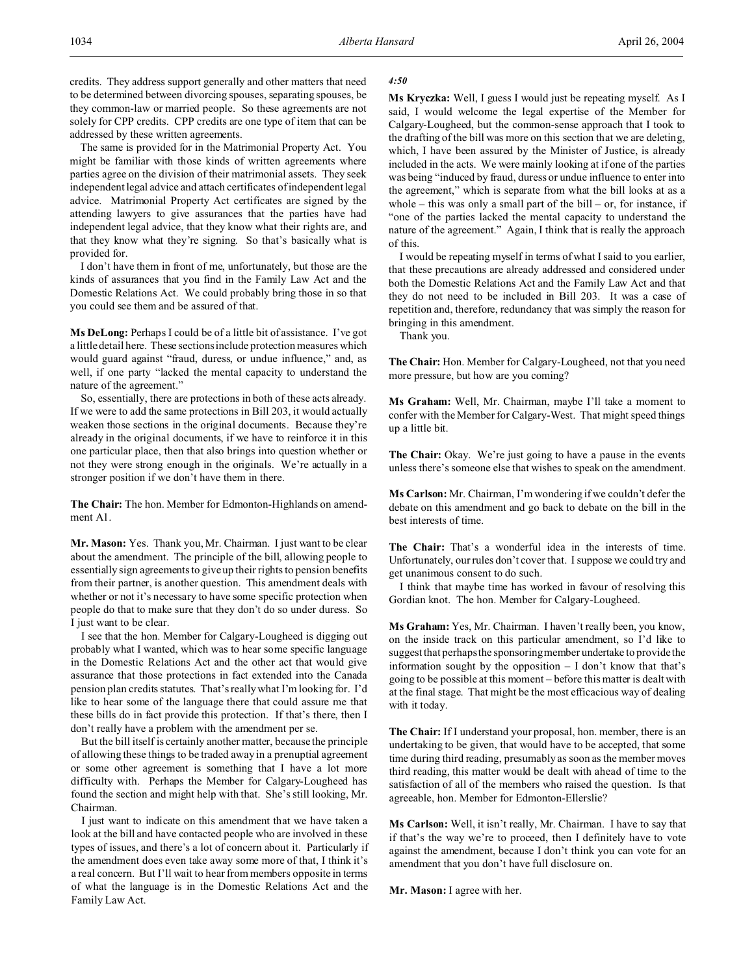credits. They address support generally and other matters that need to be determined between divorcing spouses, separating spouses, be they common-law or married people. So these agreements are not solely for CPP credits. CPP credits are one type of item that can be addressed by these written agreements.

The same is provided for in the Matrimonial Property Act. You might be familiar with those kinds of written agreements where parties agree on the division of their matrimonial assets. They seek independent legal advice and attach certificates of independent legal advice. Matrimonial Property Act certificates are signed by the attending lawyers to give assurances that the parties have had independent legal advice, that they know what their rights are, and that they know what they're signing. So that's basically what is provided for.

I don't have them in front of me, unfortunately, but those are the kinds of assurances that you find in the Family Law Act and the Domestic Relations Act. We could probably bring those in so that you could see them and be assured of that.

**Ms DeLong:** Perhaps I could be of a little bit of assistance. I've got a little detail here. These sections include protection measures which would guard against "fraud, duress, or undue influence," and, as well, if one party "lacked the mental capacity to understand the nature of the agreement."

So, essentially, there are protections in both of these acts already. If we were to add the same protections in Bill 203, it would actually weaken those sections in the original documents. Because they're already in the original documents, if we have to reinforce it in this one particular place, then that also brings into question whether or not they were strong enough in the originals. We're actually in a stronger position if we don't have them in there.

**The Chair:** The hon. Member for Edmonton-Highlands on amendment A1.

**Mr. Mason:** Yes. Thank you, Mr. Chairman. I just want to be clear about the amendment. The principle of the bill, allowing people to essentially sign agreements to give up their rights to pension benefits from their partner, is another question. This amendment deals with whether or not it's necessary to have some specific protection when people do that to make sure that they don't do so under duress. So I just want to be clear.

I see that the hon. Member for Calgary-Lougheed is digging out probably what I wanted, which was to hear some specific language in the Domestic Relations Act and the other act that would give assurance that those protections in fact extended into the Canada pension plan credits statutes. That's really what I'm looking for. I'd like to hear some of the language there that could assure me that these bills do in fact provide this protection. If that's there, then I don't really have a problem with the amendment per se.

But the bill itself is certainly another matter, because the principle of allowing these things to be traded away in a prenuptial agreement or some other agreement is something that I have a lot more difficulty with. Perhaps the Member for Calgary-Lougheed has found the section and might help with that. She's still looking, Mr. Chairman.

I just want to indicate on this amendment that we have taken a look at the bill and have contacted people who are involved in these types of issues, and there's a lot of concern about it. Particularly if the amendment does even take away some more of that, I think it's a real concern. But I'll wait to hear from members opposite in terms of what the language is in the Domestic Relations Act and the Family Law Act.

### *4:50*

**Ms Kryczka:** Well, I guess I would just be repeating myself. As I said, I would welcome the legal expertise of the Member for Calgary-Lougheed, but the common-sense approach that I took to the drafting of the bill was more on this section that we are deleting, which, I have been assured by the Minister of Justice, is already included in the acts. We were mainly looking at if one of the parties was being "induced by fraud, duress or undue influence to enter into the agreement," which is separate from what the bill looks at as a whole – this was only a small part of the bill – or, for instance, if "one of the parties lacked the mental capacity to understand the nature of the agreement." Again, I think that is really the approach of this.

I would be repeating myself in terms of what I said to you earlier, that these precautions are already addressed and considered under both the Domestic Relations Act and the Family Law Act and that they do not need to be included in Bill 203. It was a case of repetition and, therefore, redundancy that was simply the reason for bringing in this amendment.

Thank you.

**The Chair:** Hon. Member for Calgary-Lougheed, not that you need more pressure, but how are you coming?

**Ms Graham:** Well, Mr. Chairman, maybe I'll take a moment to confer with the Member for Calgary-West. That might speed things up a little bit.

The Chair: Okay. We're just going to have a pause in the events unless there's someone else that wishes to speak on the amendment.

**Ms Carlson:** Mr. Chairman, I'm wondering if we couldn't defer the debate on this amendment and go back to debate on the bill in the best interests of time.

**The Chair:** That's a wonderful idea in the interests of time. Unfortunately, our rules don't cover that. I suppose we could try and get unanimous consent to do such.

I think that maybe time has worked in favour of resolving this Gordian knot. The hon. Member for Calgary-Lougheed.

**Ms Graham:** Yes, Mr. Chairman. I haven't really been, you know, on the inside track on this particular amendment, so I'd like to suggest that perhaps the sponsoring member undertake to provide the information sought by the opposition  $- I$  don't know that that's going to be possible at this moment – before this matter is dealt with at the final stage. That might be the most efficacious way of dealing with it today.

**The Chair:** If I understand your proposal, hon. member, there is an undertaking to be given, that would have to be accepted, that some time during third reading, presumably as soon as the member moves third reading, this matter would be dealt with ahead of time to the satisfaction of all of the members who raised the question. Is that agreeable, hon. Member for Edmonton-Ellerslie?

**Ms Carlson:** Well, it isn't really, Mr. Chairman. I have to say that if that's the way we're to proceed, then I definitely have to vote against the amendment, because I don't think you can vote for an amendment that you don't have full disclosure on.

**Mr. Mason:** I agree with her.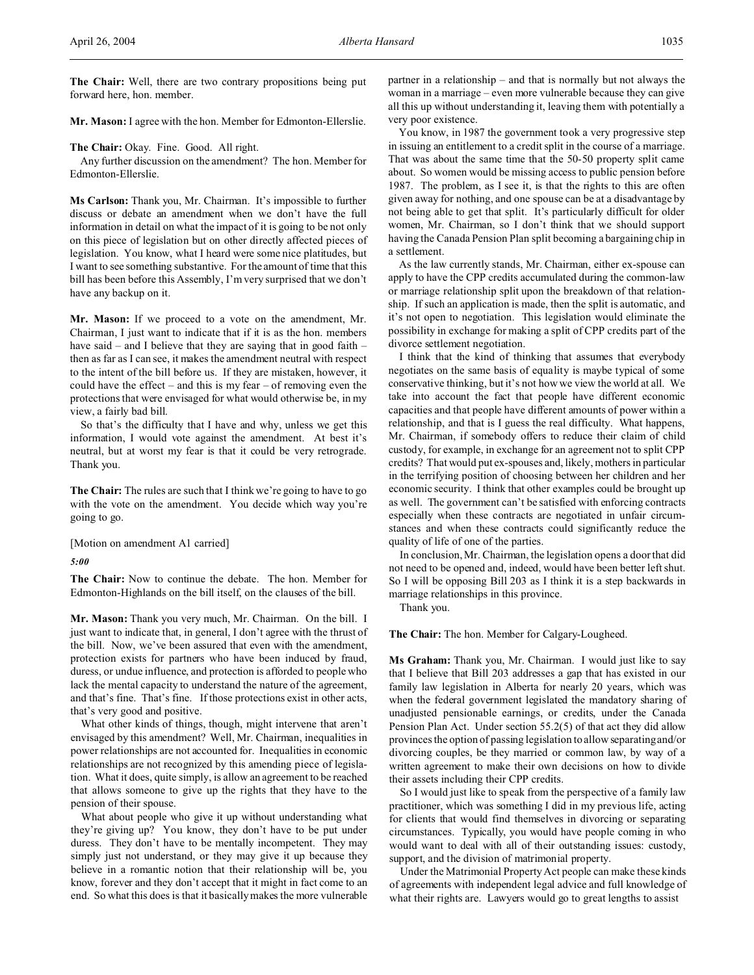**Mr. Mason:** I agree with the hon. Member for Edmonton-Ellerslie.

**The Chair:** Okay. Fine. Good. All right.

Any further discussion on the amendment? The hon. Member for Edmonton-Ellerslie.

**Ms Carlson:** Thank you, Mr. Chairman. It's impossible to further discuss or debate an amendment when we don't have the full information in detail on what the impact of it is going to be not only on this piece of legislation but on other directly affected pieces of legislation. You know, what I heard were some nice platitudes, but I want to see something substantive. For the amount of time that this bill has been before this Assembly, I'm very surprised that we don't have any backup on it.

**Mr. Mason:** If we proceed to a vote on the amendment, Mr. Chairman, I just want to indicate that if it is as the hon. members have said – and I believe that they are saying that in good faith – then as far as I can see, it makes the amendment neutral with respect to the intent of the bill before us. If they are mistaken, however, it could have the effect – and this is my fear – of removing even the protections that were envisaged for what would otherwise be, in my view, a fairly bad bill.

So that's the difficulty that I have and why, unless we get this information, I would vote against the amendment. At best it's neutral, but at worst my fear is that it could be very retrograde. Thank you.

**The Chair:** The rules are such that I think we're going to have to go with the vote on the amendment. You decide which way you're going to go.

[Motion on amendment A1 carried]

*5:00*

**The Chair:** Now to continue the debate. The hon. Member for Edmonton-Highlands on the bill itself, on the clauses of the bill.

**Mr. Mason:** Thank you very much, Mr. Chairman. On the bill. I just want to indicate that, in general, I don't agree with the thrust of the bill. Now, we've been assured that even with the amendment, protection exists for partners who have been induced by fraud, duress, or undue influence, and protection is afforded to people who lack the mental capacity to understand the nature of the agreement, and that's fine. That's fine. If those protections exist in other acts, that's very good and positive.

What other kinds of things, though, might intervene that aren't envisaged by this amendment? Well, Mr. Chairman, inequalities in power relationships are not accounted for. Inequalities in economic relationships are not recognized by this amending piece of legislation. What it does, quite simply, is allow an agreement to be reached that allows someone to give up the rights that they have to the pension of their spouse.

What about people who give it up without understanding what they're giving up? You know, they don't have to be put under duress. They don't have to be mentally incompetent. They may simply just not understand, or they may give it up because they believe in a romantic notion that their relationship will be, you know, forever and they don't accept that it might in fact come to an end. So what this does is that it basically makes the more vulnerable

partner in a relationship – and that is normally but not always the woman in a marriage – even more vulnerable because they can give all this up without understanding it, leaving them with potentially a very poor existence.

You know, in 1987 the government took a very progressive step in issuing an entitlement to a credit split in the course of a marriage. That was about the same time that the 50-50 property split came about. So women would be missing access to public pension before 1987. The problem, as I see it, is that the rights to this are often given away for nothing, and one spouse can be at a disadvantage by not being able to get that split. It's particularly difficult for older women, Mr. Chairman, so I don't think that we should support having the Canada Pension Plan split becoming a bargaining chip in a settlement.

As the law currently stands, Mr. Chairman, either ex-spouse can apply to have the CPP credits accumulated during the common-law or marriage relationship split upon the breakdown of that relationship. If such an application is made, then the split is automatic, and it's not open to negotiation. This legislation would eliminate the possibility in exchange for making a split of CPP credits part of the divorce settlement negotiation.

I think that the kind of thinking that assumes that everybody negotiates on the same basis of equality is maybe typical of some conservative thinking, but it's not how we view the world at all. We take into account the fact that people have different economic capacities and that people have different amounts of power within a relationship, and that is I guess the real difficulty. What happens, Mr. Chairman, if somebody offers to reduce their claim of child custody, for example, in exchange for an agreement not to split CPP credits? That would put ex-spouses and, likely, mothers in particular in the terrifying position of choosing between her children and her economic security. I think that other examples could be brought up as well. The government can't be satisfied with enforcing contracts especially when these contracts are negotiated in unfair circumstances and when these contracts could significantly reduce the quality of life of one of the parties.

In conclusion, Mr. Chairman, the legislation opens a door that did not need to be opened and, indeed, would have been better left shut. So I will be opposing Bill 203 as I think it is a step backwards in marriage relationships in this province.

Thank you.

**The Chair:** The hon. Member for Calgary-Lougheed.

**Ms Graham:** Thank you, Mr. Chairman. I would just like to say that I believe that Bill 203 addresses a gap that has existed in our family law legislation in Alberta for nearly 20 years, which was when the federal government legislated the mandatory sharing of unadjusted pensionable earnings, or credits, under the Canada Pension Plan Act. Under section 55.2(5) of that act they did allow provinces the option of passing legislation to allow separating and/or divorcing couples, be they married or common law, by way of a written agreement to make their own decisions on how to divide their assets including their CPP credits.

So I would just like to speak from the perspective of a family law practitioner, which was something I did in my previous life, acting for clients that would find themselves in divorcing or separating circumstances. Typically, you would have people coming in who would want to deal with all of their outstanding issues: custody, support, and the division of matrimonial property.

Under the Matrimonial Property Act people can make these kinds of agreements with independent legal advice and full knowledge of what their rights are. Lawyers would go to great lengths to assist